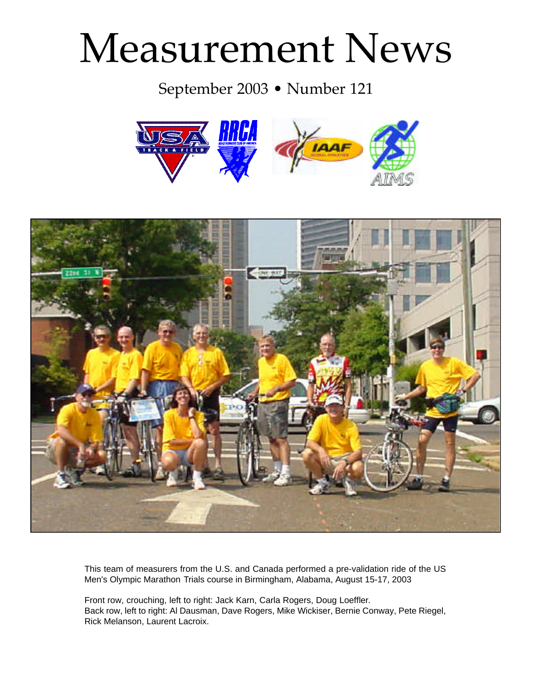# Measurement News

## September 2003 • Number 121





This team of measurers from the U.S. and Canada performed a pre-validation ride of the US Men's Olympic Marathon Trials course in Birmingham, Alabama, August 15-17, 2003

Front row, crouching, left to right: Jack Karn, Carla Rogers, Doug Loeffler. Back row, left to right: Al Dausman, Dave Rogers, Mike Wickiser, Bernie Conway, Pete Riegel, Rick Melanson, Laurent Lacroix.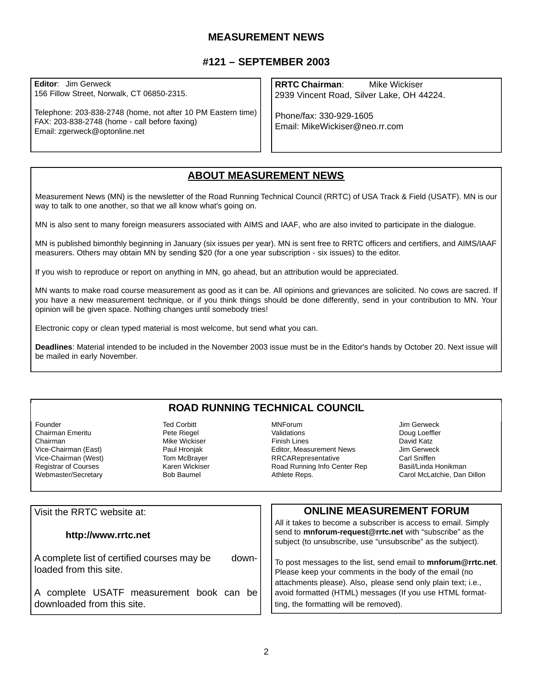#### **MEASUREMENT NEWS**

#### **#121 – SEPTEMBER 2003**

**Editor**: Jim Gerweck 156 Fillow Street, Norwalk, CT 06850-2315.

Telephone: 203-838-2748 (home, not after 10 PM Eastern time) FAX: 203-838-2748 (home - call before faxing) Email: zgerweck@optonline.net

**RRTC Chairman**: Mike Wickiser 2939 Vincent Road, Silver Lake, OH 44224.

Phone/fax: 330-929-1605 Email: MikeWickiser@neo.rr.com

#### **ABOUT MEASUREMENT NEWS**

Measurement News (MN) is the newsletter of the Road Running Technical Council (RRTC) of USA Track & Field (USATF). MN is our way to talk to one another, so that we all know what's going on.

MN is also sent to many foreign measurers associated with AIMS and IAAF, who are also invited to participate in the dialogue.

MN is published bimonthly beginning in January (six issues per year). MN is sent free to RRTC officers and certifiers, and AIMS/IAAF measurers. Others may obtain MN by sending \$20 (for a one year subscription - six issues) to the editor.

If you wish to reproduce or report on anything in MN, go ahead, but an attribution would be appreciated.

MN wants to make road course measurement as good as it can be. All opinions and grievances are solicited. No cows are sacred. If you have a new measurement technique, or if you think things should be done differently, send in your contribution to MN. Your opinion will be given space. Nothing changes until somebody tries!

Electronic copy or clean typed material is most welcome, but send what you can.

**Deadlines**: Material intended to be included in the November 2003 issue must be in the Editor's hands by October 20. Next issue will be mailed in early November.

#### **ROAD RUNNING TECHNICAL COUNCIL**

Founder Ted Corbitt Chairman Emeritu Chairman (East) Mike Wickiser<br>Vice-Chairman (East) Michael Paul Hroniak Vice-Chairman (East) **Paul Hronjak**<br>Vice-Chairman (West) Paul Hom McBraver Vice-Chairman (West) Tom McBrayer<br>Registrar of Courses The Tom Mickiser Registrar of Courses Karen Wickiser Webmaster/Secretary

MNForum Jim Gerweck Finish Lines<br>
Fditor, Measurement News<br>
Lim Gerweck Editor, Measurement News Jim Gerweck<br>
RRCARepresentative Carl Sniffen **RRCARepresentative** Road Running Info Center Rep Basil/Linda Honikman Athlete Reps. Carol McLatchie, Dan Dillon

Doug Loeffler

| Visit the RRTC website at:                                                       | <b>ONLINE MEASUREMENT FORUM</b>                                                                                                                                                           |
|----------------------------------------------------------------------------------|-------------------------------------------------------------------------------------------------------------------------------------------------------------------------------------------|
| http://www.rrtc.net                                                              | All it takes to become a subscriber is access to email. Simply<br>send to mnforum-request@rrtc.net with "subscribe" as the<br>subject (to unsubscribe, use "unsubscribe" as the subject). |
| A complete list of certified courses may be<br>down-<br>l loaded from this site. | To post messages to the list, send email to mnforum@rrtc.net.<br>Please keep your comments in the body of the email (no                                                                   |
| A complete USATF measurement book can be<br>downloaded from this site.           | attachments please). Also, please send only plain text; i.e.,<br>avoid formatted (HTML) messages (If you use HTML format-<br>ting, the formatting will be removed).                       |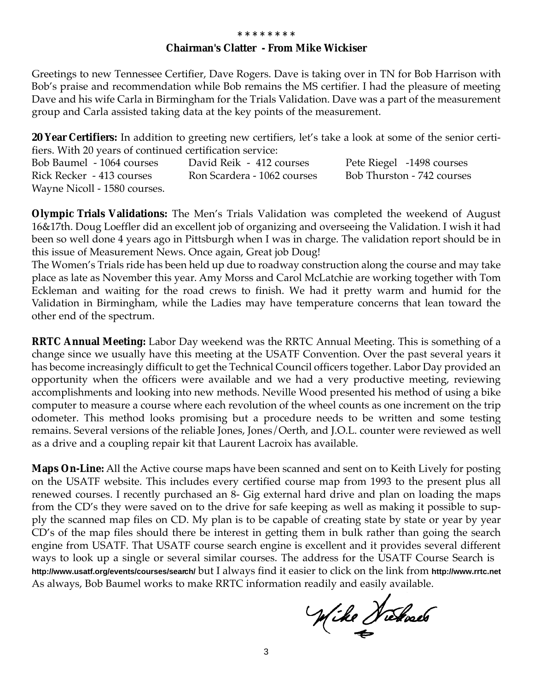#### **Chairman's Clatter - From Mike Wickiser**

Greetings to new Tennessee Certifier, Dave Rogers. Dave is taking over in TN for Bob Harrison with Bob's praise and recommendation while Bob remains the MS certifier. I had the pleasure of meeting Dave and his wife Carla in Birmingham for the Trials Validation. Dave was a part of the measurement group and Carla assisted taking data at the key points of the measurement.

**20 Year Certifiers:** In addition to greeting new certifiers, let's take a look at some of the senior certifiers. With 20 years of continued certification service:

| Bob Baumel - 1064 courses    | David Reik - 412 courses    | Pete Riegel -1498 courses  |
|------------------------------|-----------------------------|----------------------------|
| Rick Recker - 413 courses    | Ron Scardera - 1062 courses | Bob Thurston - 742 courses |
| Wayne Nicoll - 1580 courses. |                             |                            |

**Olympic Trials Validations:** The Men's Trials Validation was completed the weekend of August 16&17th. Doug Loeffler did an excellent job of organizing and overseeing the Validation. I wish it had been so well done 4 years ago in Pittsburgh when I was in charge. The validation report should be in this issue of Measurement News. Once again, Great job Doug!

The Women's Trials ride has been held up due to roadway construction along the course and may take place as late as November this year. Amy Morss and Carol McLatchie are working together with Tom Eckleman and waiting for the road crews to finish. We had it pretty warm and humid for the Validation in Birmingham, while the Ladies may have temperature concerns that lean toward the other end of the spectrum.

**RRTC Annual Meeting:** Labor Day weekend was the RRTC Annual Meeting. This is something of a change since we usually have this meeting at the USATF Convention. Over the past several years it has become increasingly difficult to get the Technical Council officers together. Labor Day provided an opportunity when the officers were available and we had a very productive meeting, reviewing accomplishments and looking into new methods. Neville Wood presented his method of using a bike computer to measure a course where each revolution of the wheel counts as one increment on the trip odometer. This method looks promising but a procedure needs to be written and some testing remains. Several versions of the reliable Jones, Jones/Oerth, and J.O.L. counter were reviewed as well as a drive and a coupling repair kit that Laurent Lacroix has available.

**Maps On-Line:** All the Active course maps have been scanned and sent on to Keith Lively for posting on the USATF website. This includes every certified course map from 1993 to the present plus all renewed courses. I recently purchased an 8- Gig external hard drive and plan on loading the maps from the CD's they were saved on to the drive for safe keeping as well as making it possible to supply the scanned map files on CD. My plan is to be capable of creating state by state or year by year CD's of the map files should there be interest in getting them in bulk rather than going the search engine from USATF. That USATF course search engine is excellent and it provides several different ways to look up a single or several similar courses. The address for the USATF Course Search is **http://www.usatf.org/events/courses/search/** but I always find it easier to click on the link from **http://www.rrtc.net** As always, Bob Baumel works to make RRTC information readily and easily available.

Wike Neckaels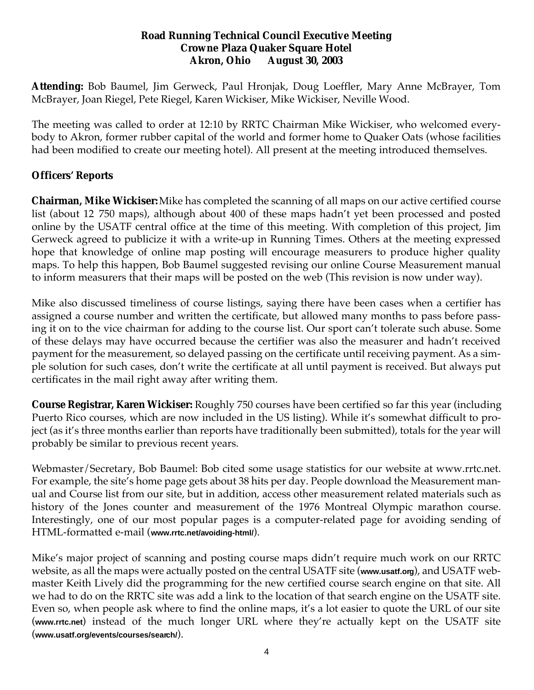#### **Road Running Technical Council Executive Meeting Crowne Plaza Quaker Square Hotel Akron, Ohio August 30, 2003**

**Attending:** Bob Baumel, Jim Gerweck, Paul Hronjak, Doug Loeffler, Mary Anne McBrayer, Tom McBrayer, Joan Riegel, Pete Riegel, Karen Wickiser, Mike Wickiser, Neville Wood.

The meeting was called to order at 12:10 by RRTC Chairman Mike Wickiser, who welcomed everybody to Akron, former rubber capital of the world and former home to Quaker Oats (whose facilities had been modified to create our meeting hotel). All present at the meeting introduced themselves.

## **Officers' Reports**

**Chairman, Mike Wickiser:**Mike has completed the scanning of all maps on our active certified course list (about 12 750 maps), although about 400 of these maps hadn't yet been processed and posted online by the USATF central office at the time of this meeting. With completion of this project, Jim Gerweck agreed to publicize it with a write-up in Running Times. Others at the meeting expressed hope that knowledge of online map posting will encourage measurers to produce higher quality maps. To help this happen, Bob Baumel suggested revising our online Course Measurement manual to inform measurers that their maps will be posted on the web (This revision is now under way).

Mike also discussed timeliness of course listings, saying there have been cases when a certifier has assigned a course number and written the certificate, but allowed many months to pass before passing it on to the vice chairman for adding to the course list. Our sport can't tolerate such abuse. Some of these delays may have occurred because the certifier was also the measurer and hadn't received payment for the measurement, so delayed passing on the certificate until receiving payment. As a simple solution for such cases, don't write the certificate at all until payment is received. But always put certificates in the mail right away after writing them.

**Course Registrar, Karen Wickiser:** Roughly 750 courses have been certified so far this year (including Puerto Rico courses, which are now included in the US listing). While it's somewhat difficult to project (as it's three months earlier than reports have traditionally been submitted), totals for the year will probably be similar to previous recent years.

Webmaster/Secretary, Bob Baumel: Bob cited some usage statistics for our website at www.rrtc.net. For example, the site's home page gets about 38 hits per day. People download the Measurement manual and Course list from our site, but in addition, access other measurement related materials such as history of the Jones counter and measurement of the 1976 Montreal Olympic marathon course. Interestingly, one of our most popular pages is a computer-related page for avoiding sending of HTML-formatted e-mail (**www.rrtc.net/avoiding-html/**).

Mike's major project of scanning and posting course maps didn't require much work on our RRTC website, as all the maps were actually posted on the central USATF site (**www.usatf.org**), and USATF webmaster Keith Lively did the programming for the new certified course search engine on that site. All we had to do on the RRTC site was add a link to the location of that search engine on the USATF site. Even so, when people ask where to find the online maps, it's a lot easier to quote the URL of our site (**www.rrtc.net**) instead of the much longer URL where they're actually kept on the USATF site (**www.usatf.org/events/courses/search/**).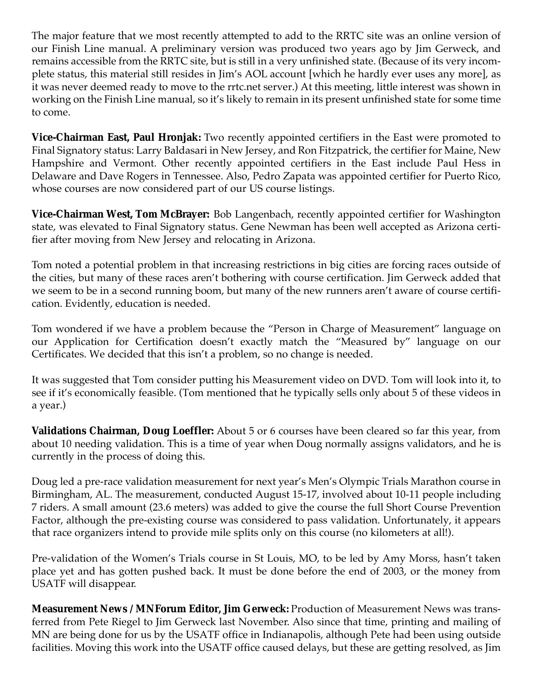The major feature that we most recently attempted to add to the RRTC site was an online version of our Finish Line manual. A preliminary version was produced two years ago by Jim Gerweck, and remains accessible from the RRTC site, but is still in a very unfinished state. (Because of its very incomplete status, this material still resides in Jim's AOL account [which he hardly ever uses any more], as it was never deemed ready to move to the rrtc.net server.) At this meeting, little interest was shown in working on the Finish Line manual, so it's likely to remain in its present unfinished state for some time to come.

**Vice-Chairman East, Paul Hronjak:** Two recently appointed certifiers in the East were promoted to Final Signatory status: Larry Baldasari in New Jersey, and Ron Fitzpatrick, the certifier for Maine, New Hampshire and Vermont. Other recently appointed certifiers in the East include Paul Hess in Delaware and Dave Rogers in Tennessee. Also, Pedro Zapata was appointed certifier for Puerto Rico, whose courses are now considered part of our US course listings.

**Vice-Chairman West, Tom McBrayer:** Bob Langenbach, recently appointed certifier for Washington state, was elevated to Final Signatory status. Gene Newman has been well accepted as Arizona certifier after moving from New Jersey and relocating in Arizona.

Tom noted a potential problem in that increasing restrictions in big cities are forcing races outside of the cities, but many of these races aren't bothering with course certification. Jim Gerweck added that we seem to be in a second running boom, but many of the new runners aren't aware of course certification. Evidently, education is needed.

Tom wondered if we have a problem because the "Person in Charge of Measurement" language on our Application for Certification doesn't exactly match the "Measured by" language on our Certificates. We decided that this isn't a problem, so no change is needed.

It was suggested that Tom consider putting his Measurement video on DVD. Tom will look into it, to see if it's economically feasible. (Tom mentioned that he typically sells only about 5 of these videos in a year.)

**Validations Chairman, Doug Loeffler:** About 5 or 6 courses have been cleared so far this year, from about 10 needing validation. This is a time of year when Doug normally assigns validators, and he is currently in the process of doing this.

Doug led a pre-race validation measurement for next year's Men's Olympic Trials Marathon course in Birmingham, AL. The measurement, conducted August 15-17, involved about 10-11 people including 7 riders. A small amount (23.6 meters) was added to give the course the full Short Course Prevention Factor, although the pre-existing course was considered to pass validation. Unfortunately, it appears that race organizers intend to provide mile splits only on this course (no kilometers at all!).

Pre-validation of the Women's Trials course in St Louis, MO, to be led by Amy Morss, hasn't taken place yet and has gotten pushed back. It must be done before the end of 2003, or the money from USATF will disappear.

**Measurement News / MNForum Editor, Jim Gerweck:** Production of Measurement News was transferred from Pete Riegel to Jim Gerweck last November. Also since that time, printing and mailing of MN are being done for us by the USATF office in Indianapolis, although Pete had been using outside facilities. Moving this work into the USATF office caused delays, but these are getting resolved, as Jim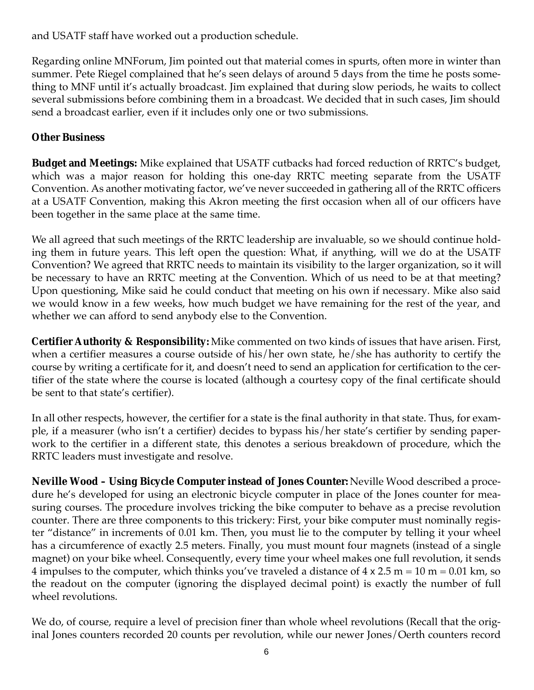and USATF staff have worked out a production schedule.

Regarding online MNForum, Jim pointed out that material comes in spurts, often more in winter than summer. Pete Riegel complained that he's seen delays of around 5 days from the time he posts something to MNF until it's actually broadcast. Jim explained that during slow periods, he waits to collect several submissions before combining them in a broadcast. We decided that in such cases, Jim should send a broadcast earlier, even if it includes only one or two submissions.

#### **Other Business**

**Budget and Meetings:** Mike explained that USATF cutbacks had forced reduction of RRTC's budget, which was a major reason for holding this one-day RRTC meeting separate from the USATF Convention. As another motivating factor, we've never succeeded in gathering all of the RRTC officers at a USATF Convention, making this Akron meeting the first occasion when all of our officers have been together in the same place at the same time.

We all agreed that such meetings of the RRTC leadership are invaluable, so we should continue holding them in future years. This left open the question: What, if anything, will we do at the USATF Convention? We agreed that RRTC needs to maintain its visibility to the larger organization, so it will be necessary to have an RRTC meeting at the Convention. Which of us need to be at that meeting? Upon questioning, Mike said he could conduct that meeting on his own if necessary. Mike also said we would know in a few weeks, how much budget we have remaining for the rest of the year, and whether we can afford to send anybody else to the Convention.

**Certifier Authority & Responsibility:** Mike commented on two kinds of issues that have arisen. First, when a certifier measures a course outside of his/her own state, he/she has authority to certify the course by writing a certificate for it, and doesn't need to send an application for certification to the certifier of the state where the course is located (although a courtesy copy of the final certificate should be sent to that state's certifier).

In all other respects, however, the certifier for a state is the final authority in that state. Thus, for example, if a measurer (who isn't a certifier) decides to bypass his/her state's certifier by sending paperwork to the certifier in a different state, this denotes a serious breakdown of procedure, which the RRTC leaders must investigate and resolve.

**Neville Wood – Using Bicycle Computer instead of Jones Counter:** Neville Wood described a procedure he's developed for using an electronic bicycle computer in place of the Jones counter for measuring courses. The procedure involves tricking the bike computer to behave as a precise revolution counter. There are three components to this trickery: First, your bike computer must nominally register "distance" in increments of 0.01 km. Then, you must lie to the computer by telling it your wheel has a circumference of exactly 2.5 meters. Finally, you must mount four magnets (instead of a single magnet) on your bike wheel. Consequently, every time your wheel makes one full revolution, it sends 4 impulses to the computer, which thinks you've traveled a distance of  $4 \times 2.5$  m =  $10$  m =  $0.01$  km, so the readout on the computer (ignoring the displayed decimal point) is exactly the number of full wheel revolutions.

We do, of course, require a level of precision finer than whole wheel revolutions (Recall that the original Jones counters recorded 20 counts per revolution, while our newer Jones/Oerth counters record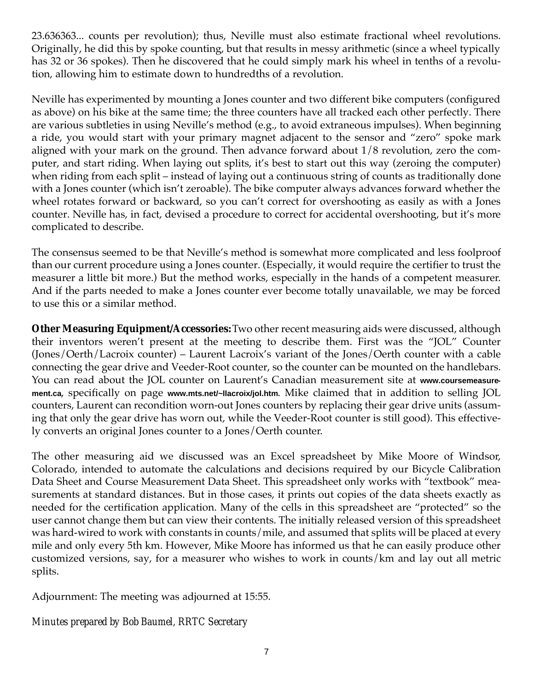23.636363... counts per revolution); thus, Neville must also estimate fractional wheel revolutions. Originally, he did this by spoke counting, but that results in messy arithmetic (since a wheel typically has 32 or 36 spokes). Then he discovered that he could simply mark his wheel in tenths of a revolution, allowing him to estimate down to hundredths of a revolution.

Neville has experimented by mounting a Jones counter and two different bike computers (configured as above) on his bike at the same time; the three counters have all tracked each other perfectly. There are various subtleties in using Neville's method (e.g., to avoid extraneous impulses). When beginning a ride, you would start with your primary magnet adjacent to the sensor and "zero" spoke mark aligned with your mark on the ground. Then advance forward about 1/8 revolution, zero the computer, and start riding. When laying out splits, it's best to start out this way (zeroing the computer) when riding from each split – instead of laying out a continuous string of counts as traditionally done with a Jones counter (which isn't zeroable). The bike computer always advances forward whether the wheel rotates forward or backward, so you can't correct for overshooting as easily as with a Jones counter. Neville has, in fact, devised a procedure to correct for accidental overshooting, but it's more complicated to describe.

The consensus seemed to be that Neville's method is somewhat more complicated and less foolproof than our current procedure using a Jones counter. (Especially, it would require the certifier to trust the measurer a little bit more.) But the method works, especially in the hands of a competent measurer. And if the parts needed to make a Jones counter ever become totally unavailable, we may be forced to use this or a similar method.

**Other Measuring Equipment/Accessories:**Two other recent measuring aids were discussed, although their inventors weren't present at the meeting to describe them. First was the "JOL" Counter (Jones/Oerth/Lacroix counter) – Laurent Lacroix's variant of the Jones/Oerth counter with a cable connecting the gear drive and Veeder-Root counter, so the counter can be mounted on the handlebars. You can read about the JOL counter on Laurent's Canadian measurement site at **www.coursemeasurement.ca**, specifically on page **www.mts.net/~llacroix/jol.htm**. Mike claimed that in addition to selling JOL counters, Laurent can recondition worn-out Jones counters by replacing their gear drive units (assuming that only the gear drive has worn out, while the Veeder-Root counter is still good). This effectively converts an original Jones counter to a Jones/Oerth counter.

The other measuring aid we discussed was an Excel spreadsheet by Mike Moore of Windsor, Colorado, intended to automate the calculations and decisions required by our Bicycle Calibration Data Sheet and Course Measurement Data Sheet. This spreadsheet only works with "textbook" measurements at standard distances. But in those cases, it prints out copies of the data sheets exactly as needed for the certification application. Many of the cells in this spreadsheet are "protected" so the user cannot change them but can view their contents. The initially released version of this spreadsheet was hard-wired to work with constants in counts/mile, and assumed that splits will be placed at every mile and only every 5th km. However, Mike Moore has informed us that he can easily produce other customized versions, say, for a measurer who wishes to work in counts/km and lay out all metric splits.

Adjournment: The meeting was adjourned at 15:55.

## *Minutes prepared by Bob Baumel, RRTC Secretary*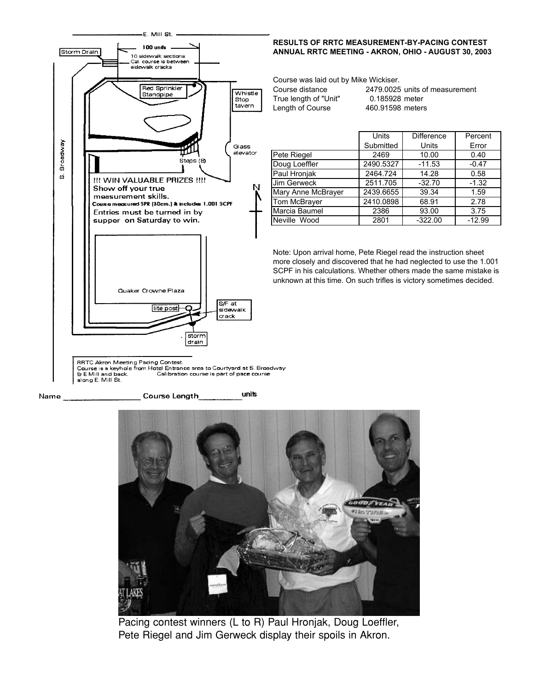

#### units Name **Course Length**



Pacing contest winners (L to R) Paul Hronjak, Doug Loeffler, Pete Riegel and Jim Gerweck display their spoils in Akron.

#### **RESULTS OF RRTC MEASUREMENT-BY-PACING CONTEST ANNUAL RRTC MEETING - AKRON, OHIO - AUGUST 30, 2003**

Course was laid out by Mike Wickiser.

| Course distance       |  |  |  |  |
|-----------------------|--|--|--|--|
| True length of "Unit" |  |  |  |  |
| Length of Course      |  |  |  |  |

2479.0025 units of measurement 0.185928 meter 460.91598 meters

|                    | <b>Units</b> | <b>Difference</b> | Percent  |
|--------------------|--------------|-------------------|----------|
|                    | Submitted    | Units             | Error    |
| Pete Riegel        | 2469         | 10.00             | 0.40     |
| Doug Loeffler      | 2490.5327    | $-11.53$          | $-0.47$  |
| Paul Hronjak       | 2464.724     | 14.28             | 0.58     |
| <b>Jim Gerweck</b> | 2511.705     | $-32.70$          | $-1.32$  |
| Mary Anne McBrayer | 2439.6655    | 39.34             | 1.59     |
| Tom McBrayer       | 2410.0898    | 68.91             | 2.78     |
| Marcia Baumel      | 2386         | 93.00             | 3.75     |
| Neville Wood       | 2801         | $-322.00$         | $-12.99$ |

Note: Upon arrival home, Pete Riegel read the instruction sheet more closely and discovered that he had neglected to use the 1.001 SCPF in his calculations. Whether others made the same mistake is unknown at this time. On such trifles is victory sometimes decided.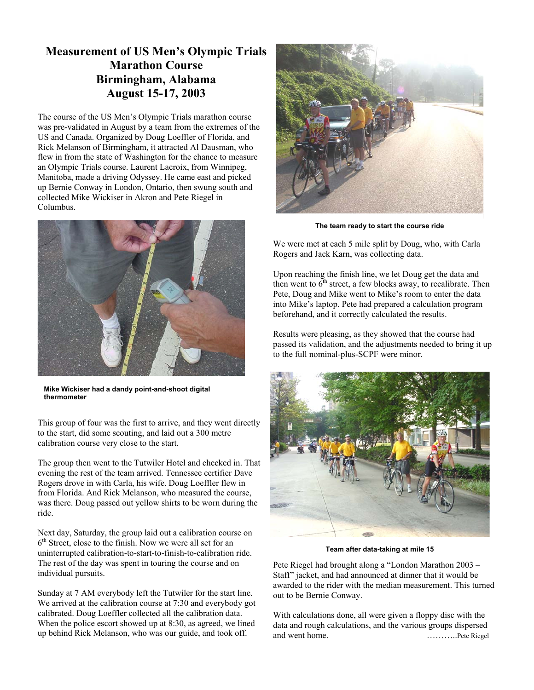## **Measurement of US Men's Olympic Trials Marathon Course Birmingham, Alabama August 15-17, 2003**

The course of the US Men's Olympic Trials marathon course was pre-validated in August by a team from the extremes of the US and Canada. Organized by Doug Loeffler of Florida, and Rick Melanson of Birmingham, it attracted Al Dausman, who flew in from the state of Washington for the chance to measure an Olympic Trials course. Laurent Lacroix, from Winnipeg, Manitoba, made a driving Odyssey. He came east and picked up Bernie Conway in London, Ontario, then swung south and collected Mike Wickiser in Akron and Pete Riegel in Columbus.



**Mike Wickiser had a dandy point-and-shoot digital thermometer**

This group of four was the first to arrive, and they went directly to the start, did some scouting, and laid out a 300 metre calibration course very close to the start.

The group then went to the Tutwiler Hotel and checked in. That evening the rest of the team arrived. Tennessee certifier Dave Rogers drove in with Carla, his wife. Doug Loeffler flew in from Florida. And Rick Melanson, who measured the course, was there. Doug passed out yellow shirts to be worn during the ride.

Next day, Saturday, the group laid out a calibration course on  $6<sup>th</sup>$  Street, close to the finish. Now we were all set for an uninterrupted calibration-to-start-to-finish-to-calibration ride. The rest of the day was spent in touring the course and on individual pursuits.

Sunday at 7 AM everybody left the Tutwiler for the start line. We arrived at the calibration course at 7:30 and everybody got calibrated. Doug Loeffler collected all the calibration data. When the police escort showed up at 8:30, as agreed, we lined up behind Rick Melanson, who was our guide, and took off.



**The team ready to start the course ride**

We were met at each 5 mile split by Doug, who, with Carla Rogers and Jack Karn, was collecting data.

Upon reaching the finish line, we let Doug get the data and then went to  $6<sup>th</sup>$  street, a few blocks away, to recalibrate. Then Pete, Doug and Mike went to Mike's room to enter the data into Mike's laptop. Pete had prepared a calculation program beforehand, and it correctly calculated the results.

Results were pleasing, as they showed that the course had passed its validation, and the adjustments needed to bring it up to the full nominal-plus-SCPF were minor.



**Team after data-taking at mile 15**

Pete Riegel had brought along a "London Marathon 2003 – Staff" jacket, and had announced at dinner that it would be awarded to the rider with the median measurement. This turned out to be Bernie Conway.

With calculations done, all were given a floppy disc with the data and rough calculations, and the various groups dispersed and went home. ………..Pete Riegel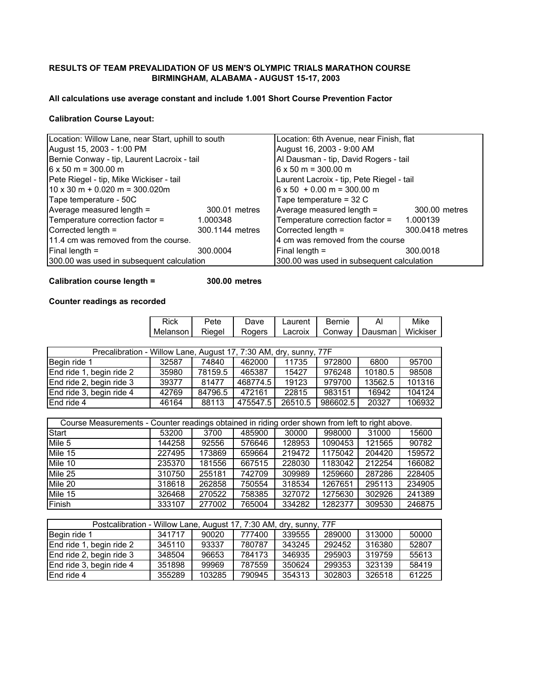#### **RESULTS OF TEAM PREVALIDATION OF US MEN'S OLYMPIC TRIALS MARATHON COURSE BIRMINGHAM, ALABAMA - AUGUST 15-17, 2003**

#### **All calculations use average constant and include 1.001 Short Course Prevention Factor**

#### **Calibration Course Layout:**

| Location: Willow Lane, near Start, uphill to south |                 | Location: 6th Avenue, near Finish, flat   |                 |
|----------------------------------------------------|-----------------|-------------------------------------------|-----------------|
| August 15, 2003 - 1:00 PM                          |                 | August 16, 2003 - 9:00 AM                 |                 |
| Bernie Conway - tip, Laurent Lacroix - tail        |                 | Al Dausman - tip, David Rogers - tail     |                 |
| $6 \times 50$ m = 300.00 m                         |                 | $6 \times 50$ m = 300.00 m                |                 |
| Pete Riegel - tip, Mike Wickiser - tail            |                 | Laurent Lacroix - tip, Pete Riegel - tail |                 |
| $10 \times 30$ m + 0.020 m = 300.020m              |                 | $16 \times 50 + 0.00$ m = 300.00 m        |                 |
| Tape temperature - 50C                             |                 | Tape temperature $=$ 32 C                 |                 |
| Average measured length =                          | 300.01 metres   | Average measured length =                 | 300.00 metres   |
| Temperature correction factor =                    | 1.000348        | Temperature correction factor =           | 1.000139        |
| Corrected length =                                 | 300.1144 metres | Corrected length =                        | 300.0418 metres |
| 11.4 cm was removed from the course.               |                 | 4 cm was removed from the course          |                 |
| Final length =                                     | 300.0004        | Final length $=$                          | 300.0018        |
| 300.00 was used in subsequent calculation          |                 | 300.00 was used in subsequent calculation |                 |

#### **Calibration course length = 300.00 metres**

#### **Counter readings as recorded**

|                                                                                                 | Rick     | Pete    | Dave     | Laurent | Bernie   | Al      | Mike     |
|-------------------------------------------------------------------------------------------------|----------|---------|----------|---------|----------|---------|----------|
|                                                                                                 | Melanson | Riegel  | Rogers   | Lacroix | Conway   | Dausman | Wickiser |
|                                                                                                 |          |         |          |         |          |         |          |
| Precalibration - Willow Lane, August 17, 7:30 AM, dry, sunny, 77F                               |          |         |          |         |          |         |          |
| Begin ride 1                                                                                    | 32587    | 74840   | 462000   | 11735   | 972800   | 6800    | 95700    |
| End ride 1, begin ride 2                                                                        | 35980    | 78159.5 | 465387   | 15427   | 976248   | 10180.5 | 98508    |
| End ride 2, begin ride 3                                                                        | 39377    | 81477   | 468774.5 | 19123   | 979700   | 13562.5 | 101316   |
| End ride 3, begin ride 4                                                                        | 42769    | 84796.5 | 472161   | 22815   | 983151   | 16942   | 104124   |
| End ride 4                                                                                      | 46164    | 88113   | 475547.5 | 26510.5 | 986602.5 | 20327   | 106932   |
|                                                                                                 |          |         |          |         |          |         |          |
| Course Measurements - Counter readings obtained in riding order shown from left to right above. |          |         |          |         |          |         |          |
| Start                                                                                           | 53200    | 3700    | 485900   | 30000   | 998000   | 31000   | 15600    |
| Mile 5                                                                                          | 144258   | 92556   | 576646   | 128953  | 1090453  | 121565  | 90782    |
| Mile 15                                                                                         | 227495   | 173869  | 659664   | 219472  | 1175042  | 204420  | 159572   |
| Mile 10                                                                                         | 235370   | 181556  | 667515   | 228030  | 1183042  | 212254  | 166082   |
| Mile 25                                                                                         | 310750   | 255181  | 742709   | 309989  | 1259660  | 287286  | 228405   |
| Mile 20                                                                                         | 318618   | 262858  | 750554   | 318534  | 1267651  | 295113  | 234905   |
| Mile 15                                                                                         | 326468   | 270522  | 758385   | 327072  | 1275630  | 302926  | 241389   |
| Finish                                                                                          | 333107   | 277002  | 765004   | 334282  | 1282377  | 309530  | 246875   |
|                                                                                                 |          |         |          |         |          |         |          |

| Postcalibration - Willow Lane, August 17, 7:30 AM, dry, sunny, 77F |        |        |        |        |        |        |       |
|--------------------------------------------------------------------|--------|--------|--------|--------|--------|--------|-------|
| Begin ride 1                                                       | 341717 | 90020  | 777400 | 339555 | 289000 | 313000 | 50000 |
| End ride 1, begin ride 2                                           | 345110 | 93337  | 780787 | 343245 | 292452 | 316380 | 52807 |
| End ride 2, begin ride 3                                           | 348504 | 96653  | 784173 | 346935 | 295903 | 319759 | 55613 |
| End ride 3, begin ride 4                                           | 351898 | 99969  | 787559 | 350624 | 299353 | 323139 | 58419 |
| End ride 4                                                         | 355289 | 103285 | 790945 | 354313 | 302803 | 326518 | 61225 |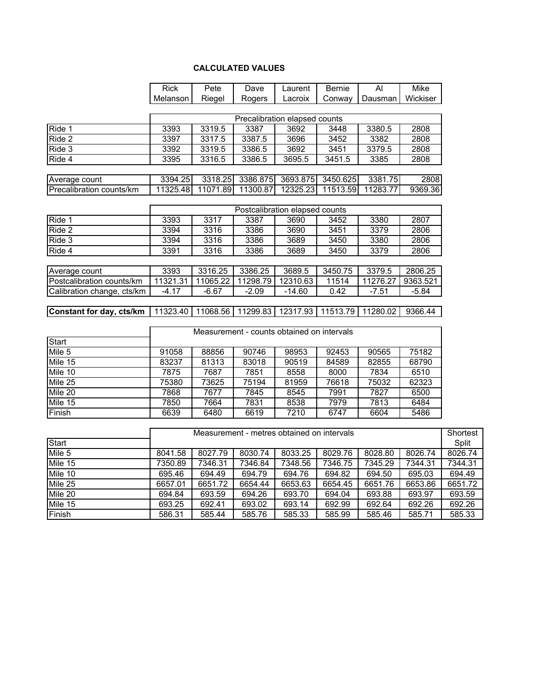#### **CALCULATED VALUES**

|                            | <b>Rick</b> | Pete     | Dave                                       | Laurent                        | Bernie   | $\overline{Al}$ | Mike     |                   |
|----------------------------|-------------|----------|--------------------------------------------|--------------------------------|----------|-----------------|----------|-------------------|
|                            | Melanson    | Riegel   | Rogers                                     | Lacroix                        | Conway   | Dausman         | Wickiser |                   |
|                            |             |          |                                            |                                |          |                 |          |                   |
|                            |             |          |                                            | Precalibration elapsed counts  |          |                 |          |                   |
| Ride 1                     | 3393        | 3319.5   | 3387                                       | 3692                           | 3448     | 3380.5          | 2808     |                   |
| Ride 2                     | 3397        | 3317.5   | 3387.5                                     | 3696                           | 3452     | 3382            | 2808     |                   |
| $\overline{Ride}$ 3        | 3392        | 3319.5   | 3386.5                                     | 3692                           | 3451     | 3379.5          | 2808     |                   |
| Ride 4                     | 3395        | 3316.5   | 3386.5                                     | 3695.5                         | 3451.5   | 3385            | 2808     |                   |
| Average count              | 3394.25     | 3318.25  | 3386.875                                   | 3693.875                       | 3450.625 | 3381.75         | 2808     |                   |
| Precalibration counts/km   | 11325.48    |          | 11071.89 11300.87                          | 12325.23                       | 11513.59 | 11283.77        | 9369.36  |                   |
|                            |             |          |                                            |                                |          |                 |          |                   |
|                            |             |          |                                            | Postcalibration elapsed counts |          |                 |          |                   |
| Ride 1                     | 3393        | 3317     | 3387                                       | 3690                           | 3452     | 3380            | 2807     |                   |
| Ride 2                     | 3394        | 3316     | 3386                                       | 3690                           | 3451     | 3379            | 2806     |                   |
| Ride 3                     | 3394        | 3316     | 3386                                       | 3689                           | 3450     | 3380            | 2806     |                   |
| Ride 4                     | 3391        | 3316     | 3386                                       | 3689                           | 3450     | 3379            | 2806     |                   |
| Average count              | 3393        | 3316.25  | 3386.25                                    | 3689.5                         | 3450.75  | 3379.5          | 2806.25  |                   |
| Postcalibration counts/km  | 11321.31    | 11065.22 | 11298.79                                   | 12310.63                       | 11514    | 11276.27        | 9363.521 |                   |
| Calibration change, cts/km | $-4.17$     | $-6.67$  | $-2.09$                                    | $-14.60$                       | 0.42     | $-7.51$         | $-5.84$  |                   |
| Constant for day, cts/km   | 11323.40    | 11068.56 | 11299.83                                   | 12317.93                       | 11513.79 | 11280.02        | 9366.44  |                   |
|                            |             |          |                                            |                                |          |                 |          |                   |
|                            |             |          | Measurement - counts obtained on intervals |                                |          |                 |          |                   |
| <b>Start</b>               |             |          |                                            |                                |          |                 |          |                   |
| Mile 5                     | 91058       | 88856    | 90746                                      | 98953                          | 92453    | 90565           | 75182    |                   |
| Mile 15                    | 83237       | 81313    | 83018                                      | 90519                          | 84589    | 82855           | 68790    |                   |
| Mile 10                    | 7875        | 7687     | 7851                                       | 8558                           | 8000     | 7834            | 6510     |                   |
| Mile 25                    | 75380       | 73625    | 75194                                      | 81959                          | 76618    | 75032           | 62323    |                   |
| Mile 20                    | 7868        | 7677     | 7845                                       | 8545                           | 7991     | 7827            | 6500     |                   |
| Mile 15                    | 7850        | 7664     | 7831                                       | 8538                           | 7979     | 7813            | 6484     |                   |
| Finish                     | 6639        | 6480     | 6619                                       | 7210                           | 6747     | 6604            | 5486     |                   |
|                            |             |          | Measurement - metres obtained on intervals |                                |          |                 |          |                   |
| Start                      |             |          |                                            |                                |          |                 |          | Shortest<br>Split |
| Mile 5                     | 8041.58     | 8027.79  | 8030.74                                    | 8033.25                        | 8029.76  | 8028.80         | 8026.74  | 8026.74           |
| Mile 15                    | 7350.89     | 7346.31  | 7346.84                                    | 7348.56                        | 7346.75  | 7345.29         | 7344.31  | 7344.31           |
| Mile 10                    | 695.46      | 694.49   | 694.79                                     | 694.76                         | 694.82   | 694.50          | 695.03   | 694.49            |
| $Mile$ 25                  | 6657.01     | 6651.72  | 6654.44                                    | 6653.63                        | 6654.45  | 6651.76         | 6653.86  | 6651.72           |
| Mile 20                    | 694.84      | 693.59   | 694.26                                     | 693.70                         | 694.04   | 693.88          | 693.97   | 693.59            |
| Mile 15                    | 693.25      | 692.41   | 693.02                                     | 693.14                         | 692.99   | 692.64          | 692.26   | 692.26            |

Finish 586.31 585.44 585.76 585.33 585.99 585.46 585.71 585.33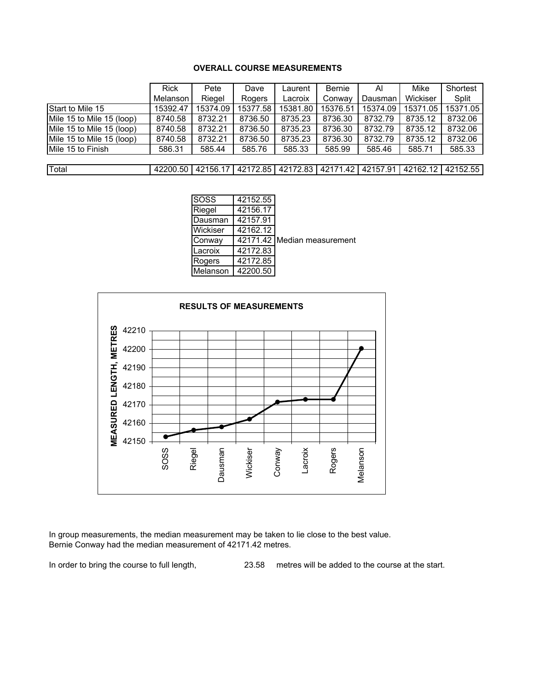#### **OVERALL COURSE MEASUREMENTS**

|                           | <b>Rick</b> | Pete     | Dave     | Laurent  | <b>Bernie</b> | Al       | Mike     | Shortest |
|---------------------------|-------------|----------|----------|----------|---------------|----------|----------|----------|
|                           | Melanson    | Riegel   | Rogers   | Lacroix  | Conway        | Dausman  | Wickiser | Split    |
| Start to Mile 15          | 15392.47    | 15374.09 | 15377.58 | 15381.80 | 15376.51      | 15374.09 | 15371.05 | 15371.05 |
| Mile 15 to Mile 15 (loop) | 8740.58     | 8732.21  | 8736.50  | 8735.23  | 8736.30       | 8732.79  | 8735.12  | 8732.06  |
| Mile 15 to Mile 15 (loop) | 8740.58     | 8732.21  | 8736.50  | 8735.23  | 8736.30       | 8732.79  | 8735.12  | 8732.06  |
| Mile 15 to Mile 15 (loop) | 8740.58     | 8732.21  | 8736.50  | 8735.23  | 8736.30       | 8732.79  | 8735.12  | 8732.06  |
| Mile 15 to Finish         | 586.31      | 585.44   | 585.76   | 585.33   | 585.99        | 585.46   | 585.71   | 585.33   |
|                           |             |          |          |          |               |          |          |          |
| Total                     | 42200.50    | 42156.17 | 42172.85 | 42172.83 | 42171.42      | 42157.91 | 42162.12 | 42152.55 |

| SOSS     | 42152.55 |                             |
|----------|----------|-----------------------------|
| Riegel   | 42156.17 |                             |
| Dausman  | 42157.91 |                             |
| Wickiser | 42162.12 |                             |
| Conwav   |          | 42171.42 Median measurement |
| Lacroix  | 42172.83 |                             |
| Rogers   | 42172.85 |                             |
| Melanson | 42200.50 |                             |
|          |          |                             |



In group measurements, the median measurement may be taken to lie close to the best value. Bernie Conway had the median measurement of 42171.42 metres.

In order to bring the course to full length, 23.58 metres will be added to the course at the start.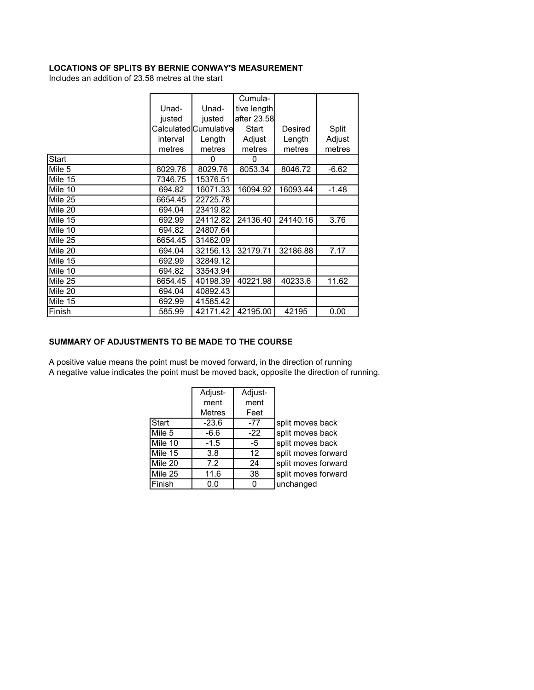#### **LOCATIONS OF SPLITS BY BERNIE CONWAY'S MEASUREMENT**

Includes an addition of 23.58 metres at the start

|         |          |                       | Cumula-     |          |         |
|---------|----------|-----------------------|-------------|----------|---------|
|         | Unad-    | Unad-                 | tive length |          |         |
|         | justed   | justed                | after 23.58 |          |         |
|         |          | Calculated Cumulative | Start       | Desired  | Split   |
|         | interval | Length                | Adjust      | Length   | Adjust  |
|         | metres   | metres                | metres      | metres   | metres  |
| Start   |          | 0                     | 0           |          |         |
| Mile 5  | 8029.76  | 8029.76               | 8053.34     | 8046.72  | $-6.62$ |
| Mile 15 | 7346.75  | 15376.51              |             |          |         |
| Mile 10 | 694.82   | 16071.33              | 16094.92    | 16093.44 | $-1.48$ |
| Mile 25 | 6654.45  | 22725.78              |             |          |         |
| Mile 20 | 694.04   | 23419.82              |             |          |         |
| Mile 15 | 692.99   | 24112.82              | 24136.40    | 24140.16 | 3.76    |
| Mile 10 | 694.82   | 24807.64              |             |          |         |
| Mile 25 | 6654.45  | 31462.09              |             |          |         |
| Mile 20 | 694.04   | 32156.13              | 32179.71    | 32186.88 | 7.17    |
| Mile 15 | 692.99   | 32849.12              |             |          |         |
| Mile 10 | 694.82   | 33543.94              |             |          |         |
| Mile 25 | 6654.45  | 40198.39              | 40221.98    | 40233.6  | 11.62   |
| Mile 20 | 694.04   | 40892.43              |             |          |         |
| Mile 15 | 692.99   | 41585.42              |             |          |         |
| Finish  | 585.99   | 42171.42              | 42195.00    | 42195    | 0.00    |

#### **SUMMARY OF ADJUSTMENTS TO BE MADE TO THE COURSE**

A positive value means the point must be moved forward, in the direction of running A negative value indicates the point must be moved back, opposite the direction of running.

|         | Adjust-       | Adjust- |                     |
|---------|---------------|---------|---------------------|
|         | ment          | ment    |                     |
|         | <b>Metres</b> | Feet    |                     |
| Start   | $-23.6$       | $-77$   | split moves back    |
| Mile 5  | $-6.6$        | $-22$   | split moves back    |
| Mile 10 | $-1.5$        | -5      | split moves back    |
| Mile 15 | 3.8           | 12      | split moves forward |
| Mile 20 | 7.2           | 24      | split moves forward |
| Mile 25 | 11.6          | 38      | split moves forward |
| Finish  | 0.0           |         | unchanged           |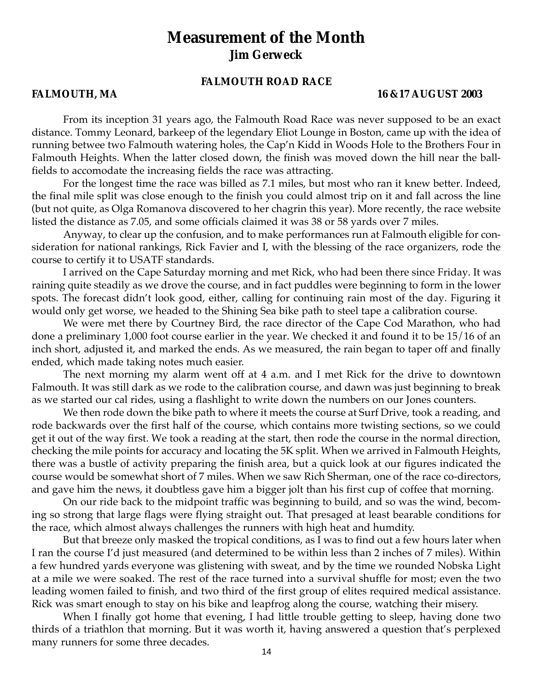## **Measurement of the Month Jim Gerweck**

#### **FALMOUTH ROAD RACE**

#### **FALMOUTH, MA 16 &17 AUGUST 2003**

From its inception 31 years ago, the Falmouth Road Race was never supposed to be an exact distance. Tommy Leonard, barkeep of the legendary Eliot Lounge in Boston, came up with the idea of running betwee two Falmouth watering holes, the Cap'n Kidd in Woods Hole to the Brothers Four in Falmouth Heights. When the latter closed down, the finish was moved down the hill near the ballfields to accomodate the increasing fields the race was attracting.

For the longest time the race was billed as 7.1 miles, but most who ran it knew better. Indeed, the final mile split was close enough to the finish you could almost trip on it and fall across the line (but not quite, as Olga Romanova discovered to her chagrin this year). More recently, the race website listed the distance as 7.05, and some officials claimed it was 38 or 58 yards over 7 miles.

Anyway, to clear up the confusion, and to make performances run at Falmouth eligible for consideration for national rankings, Rick Favier and I, with the blessing of the race organizers, rode the course to certify it to USATF standards.

I arrived on the Cape Saturday morning and met Rick, who had been there since Friday. It was raining quite steadily as we drove the course, and in fact puddles were beginning to form in the lower spots. The forecast didn't look good, either, calling for continuing rain most of the day. Figuring it would only get worse, we headed to the Shining Sea bike path to steel tape a calibration course.

We were met there by Courtney Bird, the race director of the Cape Cod Marathon, who had done a preliminary 1,000 foot course earlier in the year. We checked it and found it to be 15/16 of an inch short, adjusted it, and marked the ends. As we measured, the rain began to taper off and finally ended, which made taking notes much easier.

The next morning my alarm went off at 4 a.m. and I met Rick for the drive to downtown Falmouth. It was still dark as we rode to the calibration course, and dawn was just beginning to break as we started our cal rides, using a flashlight to write down the numbers on our Jones counters.

We then rode down the bike path to where it meets the course at Surf Drive, took a reading, and rode backwards over the first half of the course, which contains more twisting sections, so we could get it out of the way first. We took a reading at the start, then rode the course in the normal direction, checking the mile points for accuracy and locating the 5K split. When we arrived in Falmouth Heights, there was a bustle of activity preparing the finish area, but a quick look at our figures indicated the course would be somewhat short of 7 miles. When we saw Rich Sherman, one of the race co-directors, and gave him the news, it doubtless gave him a bigger jolt than his first cup of coffee that morning.

On our ride back to the midpoint traffic was beginning to build, and so was the wind, becoming so strong that large flags were flying straight out. That presaged at least bearable conditions for the race, which almost always challenges the runners with high heat and humdity.

But that breeze only masked the tropical conditions, as I was to find out a few hours later when I ran the course I'd just measured (and determined to be within less than 2 inches of 7 miles). Within a few hundred yards everyone was glistening with sweat, and by the time we rounded Nobska Light at a mile we were soaked. The rest of the race turned into a survival shuffle for most; even the two leading women failed to finish, and two third of the first group of elites required medical assistance. Rick was smart enough to stay on his bike and leapfrog along the course, watching their misery.

When I finally got home that evening, I had little trouble getting to sleep, having done two thirds of a triathlon that morning. But it was worth it, having answered a question that's perplexed many runners for some three decades.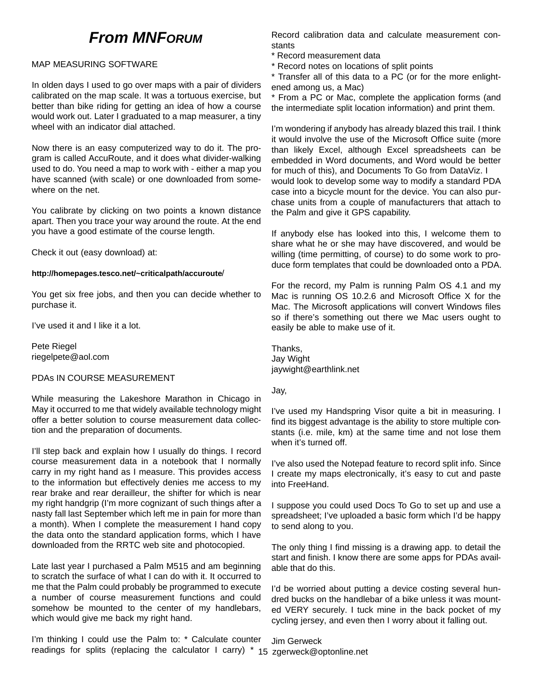## **From MNFORUM**

#### MAP MEASURING SOFTWARE

In olden days I used to go over maps with a pair of dividers calibrated on the map scale. It was a tortuous exercise, but better than bike riding for getting an idea of how a course would work out. Later I graduated to a map measurer, a tiny wheel with an indicator dial attached.

Now there is an easy computerized way to do it. The program is called AccuRoute, and it does what divider-walking used to do. You need a map to work with - either a map you have scanned (with scale) or one downloaded from somewhere on the net.

You calibrate by clicking on two points a known distance apart. Then you trace your way around the route. At the end you have a good estimate of the course length.

Check it out (easy download) at:

#### **http://homepages.tesco.net/~criticalpath/accuroute**/

You get six free jobs, and then you can decide whether to purchase it.

I've used it and I like it a lot.

Pete Riegel riegelpete@aol.com

#### PDAs IN COURSE MEASUREMENT

While measuring the Lakeshore Marathon in Chicago in May it occurred to me that widely available technology might offer a better solution to course measurement data collection and the preparation of documents.

I'll step back and explain how I usually do things. I record course measurement data in a notebook that I normally carry in my right hand as I measure. This provides access to the information but effectively denies me access to my rear brake and rear derailleur, the shifter for which is near my right handgrip (I'm more cognizant of such things after a nasty fall last September which left me in pain for more than a month). When I complete the measurement I hand copy the data onto the standard application forms, which I have downloaded from the RRTC web site and photocopied.

Late last year I purchased a Palm M515 and am beginning to scratch the surface of what I can do with it. It occurred to me that the Palm could probably be programmed to execute a number of course measurement functions and could somehow be mounted to the center of my handlebars, which would give me back my right hand.

I'm thinking I could use the Palm to: \* Calculate counter Jim Gerweck

Record calibration data and calculate measurement constants

- \* Record measurement data
- \* Record notes on locations of split points

\* Transfer all of this data to a PC (or for the more enlightened among us, a Mac)

\* From a PC or Mac, complete the application forms (and the intermediate split location information) and print them.

I'm wondering if anybody has already blazed this trail. I think it would involve the use of the Microsoft Office suite (more than likely Excel, although Excel spreadsheets can be embedded in Word documents, and Word would be better for much of this), and Documents To Go from DataViz. I would look to develop some way to modify a standard PDA case into a bicycle mount for the device. You can also purchase units from a couple of manufacturers that attach to the Palm and give it GPS capability.

If anybody else has looked into this, I welcome them to share what he or she may have discovered, and would be willing (time permitting, of course) to do some work to produce form templates that could be downloaded onto a PDA.

For the record, my Palm is running Palm OS 4.1 and my Mac is running OS 10.2.6 and Microsoft Office X for the Mac. The Microsoft applications will convert Windows files so if there's something out there we Mac users ought to easily be able to make use of it.

Thanks, Jay Wight jaywight@earthlink.net

Jay,

I've used my Handspring Visor quite a bit in measuring. I find its biggest advantage is the ability to store multiple constants (i.e. mile, km) at the same time and not lose them when it's turned off.

I've also used the Notepad feature to record split info. Since I create my maps electronically, it's easy to cut and paste into FreeHand.

I suppose you could used Docs To Go to set up and use a spreadsheet; I've uploaded a basic form which I'd be happy to send along to you.

The only thing I find missing is a drawing app. to detail the start and finish. I know there are some apps for PDAs available that do this.

I'd be worried about putting a device costing several hundred bucks on the handlebar of a bike unless it was mounted VERY securely. I tuck mine in the back pocket of my cycling jersey, and even then I worry about it falling out.

readings for splits (replacing the calculator I carry) \* 15 zgerweck@optonline.net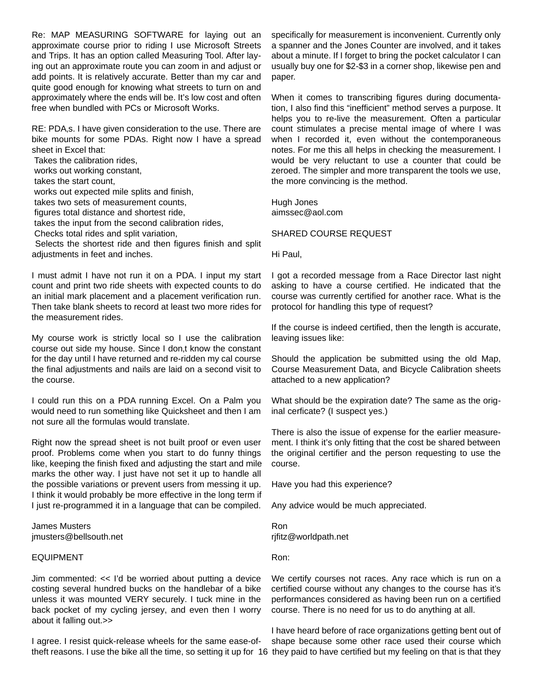Re: MAP MEASURING SOFTWARE for laying out an approximate course prior to riding I use Microsoft Streets and Trips. It has an option called Measuring Tool. After laying out an approximate route you can zoom in and adjust or add points. It is relatively accurate. Better than my car and quite good enough for knowing what streets to turn on and approximately where the ends will be. It's low cost and often free when bundled with PCs or Microsoft Works.

RE: PDA,s. I have given consideration to the use. There are bike mounts for some PDAs. Right now I have a spread sheet in Excel that:

Takes the calibration rides,

works out working constant,

takes the start count,

works out expected mile splits and finish,

takes two sets of measurement counts,

figures total distance and shortest ride,

takes the input from the second calibration rides,

Checks total rides and split variation,

Selects the shortest ride and then figures finish and split adjustments in feet and inches.

I must admit I have not run it on a PDA. I input my start count and print two ride sheets with expected counts to do an initial mark placement and a placement verification run. Then take blank sheets to record at least two more rides for the measurement rides.

My course work is strictly local so I use the calibration course out side my house. Since I don,t know the constant for the day until I have returned and re-ridden my cal course the final adjustments and nails are laid on a second visit to the course.

I could run this on a PDA running Excel. On a Palm you would need to run something like Quicksheet and then I am not sure all the formulas would translate.

Right now the spread sheet is not built proof or even user proof. Problems come when you start to do funny things like, keeping the finish fixed and adjusting the start and mile marks the other way. I just have not set it up to handle all the possible variations or prevent users from messing it up. I think it would probably be more effective in the long term if I just re-programmed it in a language that can be compiled.

James Musters jmusters@bellsouth.net

#### EQUIPMENT

Jim commented: << I'd be worried about putting a device costing several hundred bucks on the handlebar of a bike unless it was mounted VERY securely. I tuck mine in the back pocket of my cycling jersey, and even then I worry about it falling out.>>

I agree. I resist quick-release wheels for the same ease-oftheft reasons. I use the bike all the time, so setting it up for 16 they paid to have certified but my feeling on that is that they

specifically for measurement is inconvenient. Currently only a spanner and the Jones Counter are involved, and it takes about a minute. If I forget to bring the pocket calculator I can usually buy one for \$2-\$3 in a corner shop, likewise pen and paper.

When it comes to transcribing figures during documentation, I also find this "inefficient" method serves a purpose. It helps you to re-live the measurement. Often a particular count stimulates a precise mental image of where I was when I recorded it, even without the contemporaneous notes. For me this all helps in checking the measurement. I would be very reluctant to use a counter that could be zeroed. The simpler and more transparent the tools we use, the more convincing is the method.

Hugh Jones aimssec@aol.com

#### SHARED COURSE REQUEST

Hi Paul,

I got a recorded message from a Race Director last night asking to have a course certified. He indicated that the course was currently certified for another race. What is the protocol for handling this type of request?

If the course is indeed certified, then the length is accurate, leaving issues like:

Should the application be submitted using the old Map, Course Measurement Data, and Bicycle Calibration sheets attached to a new application?

What should be the expiration date? The same as the original cerficate? (I suspect yes.)

There is also the issue of expense for the earlier measurement. I think it's only fitting that the cost be shared between the original certifier and the person requesting to use the course.

Have you had this experience?

Any advice would be much appreciated.

Ron rjfitz@worldpath.net

Ron:

We certify courses not races. Any race which is run on a certified course without any changes to the course has it's performances considered as having been run on a certified course. There is no need for us to do anything at all.

I have heard before of race organizations getting bent out of shape because some other race used their course which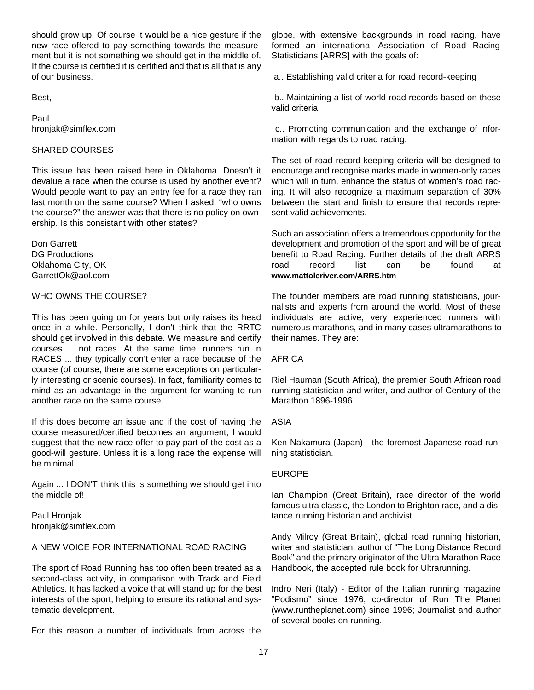should grow up! Of course it would be a nice gesture if the new race offered to pay something towards the measurement but it is not something we should get in the middle of. If the course is certified it is certified and that is all that is any of our business.

Best,

Paul hronjak@simflex.com

#### SHARED COURSES

This issue has been raised here in Oklahoma. Doesn't it devalue a race when the course is used by another event? Would people want to pay an entry fee for a race they ran last month on the same course? When I asked, "who owns the course?" the answer was that there is no policy on ownership. Is this consistant with other states?

Don Garrett DG Productions Oklahoma City, OK GarrettOk@aol.com

#### WHO OWNS THE COURSE?

This has been going on for years but only raises its head once in a while. Personally, I don't think that the RRTC should get involved in this debate. We measure and certify courses ... not races. At the same time, runners run in RACES ... they typically don't enter a race because of the course (of course, there are some exceptions on particularly interesting or scenic courses). In fact, familiarity comes to mind as an advantage in the argument for wanting to run another race on the same course.

If this does become an issue and if the cost of having the course measured/certified becomes an argument, I would suggest that the new race offer to pay part of the cost as a good-will gesture. Unless it is a long race the expense will be minimal.

Again ... I DON'T think this is something we should get into the middle of!

Paul Hronjak hronjak@simflex.com

#### A NEW VOICE FOR INTERNATIONAL ROAD RACING

The sport of Road Running has too often been treated as a second-class activity, in comparison with Track and Field Athletics. It has lacked a voice that will stand up for the best interests of the sport, helping to ensure its rational and systematic development.

For this reason a number of individuals from across the

globe, with extensive backgrounds in road racing, have formed an international Association of Road Racing Statisticians [ARRS] with the goals of:

a.. Establishing valid criteria for road record-keeping

b.. Maintaining a list of world road records based on these valid criteria

c.. Promoting communication and the exchange of information with regards to road racing.

The set of road record-keeping criteria will be designed to encourage and recognise marks made in women-only races which will in turn, enhance the status of women's road racing. It will also recognize a maximum separation of 30% between the start and finish to ensure that records represent valid achievements.

Such an association offers a tremendous opportunity for the development and promotion of the sport and will be of great benefit to Road Racing. Further details of the draft ARRS road record list can be found at **www.mattoleriver.com/ARRS.htm**

The founder members are road running statisticians, journalists and experts from around the world. Most of these individuals are active, very experienced runners with numerous marathons, and in many cases ultramarathons to their names. They are:

#### AFRICA

Riel Hauman (South Africa), the premier South African road running statistician and writer, and author of Century of the Marathon 1896-1996

#### ASIA

Ken Nakamura (Japan) - the foremost Japanese road running statistician.

#### EUROPE

Ian Champion (Great Britain), race director of the world famous ultra classic, the London to Brighton race, and a distance running historian and archivist.

Andy Milroy (Great Britain), global road running historian, writer and statistician, author of "The Long Distance Record Book" and the primary originator of the Ultra Marathon Race Handbook, the accepted rule book for Ultrarunning.

Indro Neri (Italy) - Editor of the Italian running magazine "Podismo" since 1976; co-director of Run The Planet (www.runtheplanet.com) since 1996; Journalist and author of several books on running.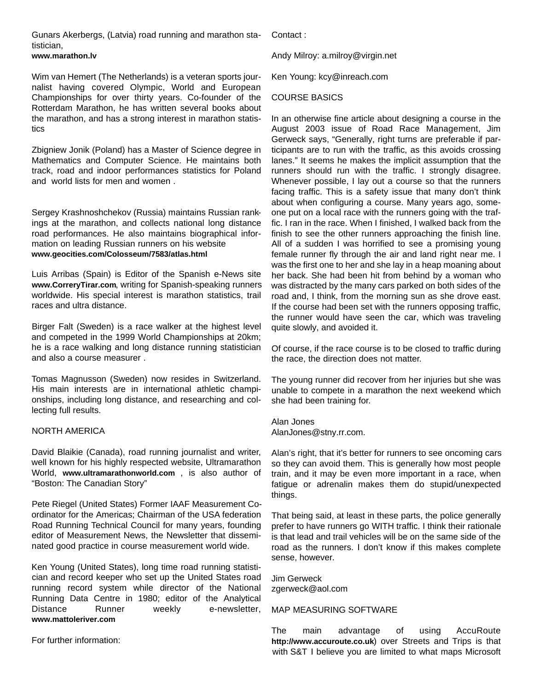Gunars Akerbergs, (Latvia) road running and marathon statistician,

#### **www.marathon.lv**

Wim van Hemert (The Netherlands) is a veteran sports journalist having covered Olympic, World and European Championships for over thirty years. Co-founder of the Rotterdam Marathon, he has written several books about the marathon, and has a strong interest in marathon statistics

Zbigniew Jonik (Poland) has a Master of Science degree in Mathematics and Computer Science. He maintains both track, road and indoor performances statistics for Poland and world lists for men and women .

Sergey Krashnoshchekov (Russia) maintains Russian rankings at the marathon, and collects national long distance road performances. He also maintains biographical information on leading Russian runners on his website **www.geocities.com/Colosseum/7583/atlas.html**

Luis Arribas (Spain) is Editor of the Spanish e-News site **www.CorreryTirar.com**, writing for Spanish-speaking runners worldwide. His special interest is marathon statistics, trail races and ultra distance.

Birger Falt (Sweden) is a race walker at the highest level and competed in the 1999 World Championships at 20km; he is a race walking and long distance running statistician and also a course measurer .

Tomas Magnusson (Sweden) now resides in Switzerland. His main interests are in international athletic championships, including long distance, and researching and collecting full results.

#### NORTH AMERICA

David Blaikie (Canada), road running journalist and writer, well known for his highly respected website, Ultramarathon World, **www.ultramarathonworld.com** , is also author of "Boston: The Canadian Story"

Pete Riegel (United States) Former IAAF Measurement Coordinator for the Americas; Chairman of the USA federation Road Running Technical Council for many years, founding editor of Measurement News, the Newsletter that disseminated good practice in course measurement world wide.

Ken Young (United States), long time road running statistician and record keeper who set up the United States road running record system while director of the National Running Data Centre in 1980; editor of the Analytical Distance Runner weekly e-newsletter, **www.mattoleriver.com**

For further information:

Contact :

Andy Milroy: a.milroy@virgin.net

Ken Young: kcy@inreach.com

#### COURSE BASICS

In an otherwise fine article about designing a course in the August 2003 issue of Road Race Management, Jim Gerweck says, "Generally, right turns are preferable if participants are to run with the traffic, as this avoids crossing lanes." It seems he makes the implicit assumption that the runners should run with the traffic. I strongly disagree. Whenever possible, I lay out a course so that the runners facing traffic. This is a safety issue that many don't think about when configuring a course. Many years ago, someone put on a local race with the runners going with the traffic. I ran in the race. When I finished, I walked back from the finish to see the other runners approaching the finish line. All of a sudden I was horrified to see a promising young female runner fly through the air and land right near me. I was the first one to her and she lay in a heap moaning about her back. She had been hit from behind by a woman who was distracted by the many cars parked on both sides of the road and, I think, from the morning sun as she drove east. If the course had been set with the runners opposing traffic, the runner would have seen the car, which was traveling quite slowly, and avoided it.

Of course, if the race course is to be closed to traffic during the race, the direction does not matter.

The young runner did recover from her injuries but she was unable to compete in a marathon the next weekend which she had been training for.

Alan Jones AlanJones@stny.rr.com.

Alan's right, that it's better for runners to see oncoming cars so they can avoid them. This is generally how most people train, and it may be even more important in a race, when fatigue or adrenalin makes them do stupid/unexpected things.

That being said, at least in these parts, the police generally prefer to have runners go WITH traffic. I think their rationale is that lead and trail vehicles will be on the same side of the road as the runners. I don't know if this makes complete sense, however.

Jim Gerweck zgerweck@aol.com

#### MAP MEASURING SOFTWARE

The main advantage of using AccuRoute **http://www.accuroute.co.uk**) over Streets and Trips is that with S&T I believe you are limited to what maps Microsoft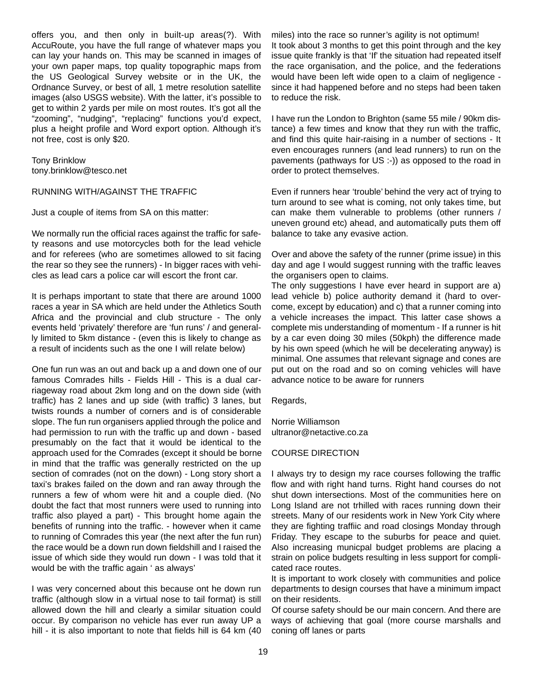offers you, and then only in built-up areas(?). With AccuRoute, you have the full range of whatever maps you can lay your hands on. This may be scanned in images of your own paper maps, top quality topographic maps from the US Geological Survey website or in the UK, the Ordnance Survey, or best of all, 1 metre resolution satellite images (also USGS website). With the latter, it's possible to get to within 2 yards per mile on most routes. It's got all the "zooming", "nudging", "replacing" functions you'd expect, plus a height profile and Word export option. Although it's not free, cost is only \$20.

Tony Brinklow tony.brinklow@tesco.net

#### RUNNING WITH/AGAINST THE TRAFFIC

Just a couple of items from SA on this matter:

We normally run the official races against the traffic for safety reasons and use motorcycles both for the lead vehicle and for referees (who are sometimes allowed to sit facing the rear so they see the runners) - In bigger races with vehicles as lead cars a police car will escort the front car.

It is perhaps important to state that there are around 1000 races a year in SA which are held under the Athletics South Africa and the provincial and club structure - The only events held 'privately' therefore are 'fun runs' / and generally limited to 5km distance - (even this is likely to change as a result of incidents such as the one I will relate below)

One fun run was an out and back up a and down one of our famous Comrades hills - Fields Hill - This is a dual carriageway road about 2km long and on the down side (with traffic) has 2 lanes and up side (with traffic) 3 lanes, but twists rounds a number of corners and is of considerable slope. The fun run organisers applied through the police and had permission to run with the traffic up and down - based presumably on the fact that it would be identical to the approach used for the Comrades (except it should be borne in mind that the traffic was generally restricted on the up section of comrades (not on the down) - Long story short a taxi's brakes failed on the down and ran away through the runners a few of whom were hit and a couple died. (No doubt the fact that most runners were used to running into traffic also played a part) - This brought home again the benefits of running into the traffic. - however when it came to running of Comrades this year (the next after the fun run) the race would be a down run down fieldshill and I raised the issue of which side they would run down - I was told that it would be with the traffic again ' as always'

I was very concerned about this because ont he down run traffic (although slow in a virtual nose to tail format) is still allowed down the hill and clearly a similar situation could occur. By comparison no vehicle has ever run away UP a hill - it is also important to note that fields hill is 64 km (40) miles) into the race so runner's agility is not optimum! It took about 3 months to get this point through and the key issue quite frankly is that 'If' the situation had repeated itself the race organisation, and the police, and the federations would have been left wide open to a claim of negligence since it had happened before and no steps had been taken to reduce the risk.

I have run the London to Brighton (same 55 mile / 90km distance) a few times and know that they run with the traffic, and find this quite hair-raising in a number of sections - It even encourages runners (and lead runners) to run on the pavements (pathways for US :-)) as opposed to the road in order to protect themselves.

Even if runners hear 'trouble'behind the very act of trying to turn around to see what is coming, not only takes time, but can make them vulnerable to problems (other runners / uneven ground etc) ahead, and automatically puts them off balance to take any evasive action.

Over and above the safety of the runner (prime issue) in this day and age I would suggest running with the traffic leaves the organisers open to claims.

The only suggestions I have ever heard in support are a) lead vehicle b) police authority demand it (hard to overcome, except by education) and c) that a runner coming into a vehicle increases the impact. This latter case shows a complete mis understanding of momentum - If a runner is hit by a car even doing 30 miles (50kph) the difference made by his own speed (which he will be decelerating anyway) is minimal. One assumes that relevant signage and cones are put out on the road and so on coming vehicles will have advance notice to be aware for runners

Regards,

Norrie Williamson ultranor@netactive.co.za

#### COURSE DIRECTION

I always try to design my race courses following the traffic flow and with right hand turns. Right hand courses do not shut down intersections. Most of the communities here on Long Island are not trhilled with races running down their streets. Many of our residents work in New York City where they are fighting traffiic and road closings Monday through Friday. They escape to the suburbs for peace and quiet. Also increasing municpal budget problems are placing a strain on police budgets resulting in less support for complicated race routes.

It is important to work closely with communities and police departments to design courses that have a minimum impact on their residents.

Of course safety should be our main concern. And there are ways of achieving that goal (more course marshalls and coning off lanes or parts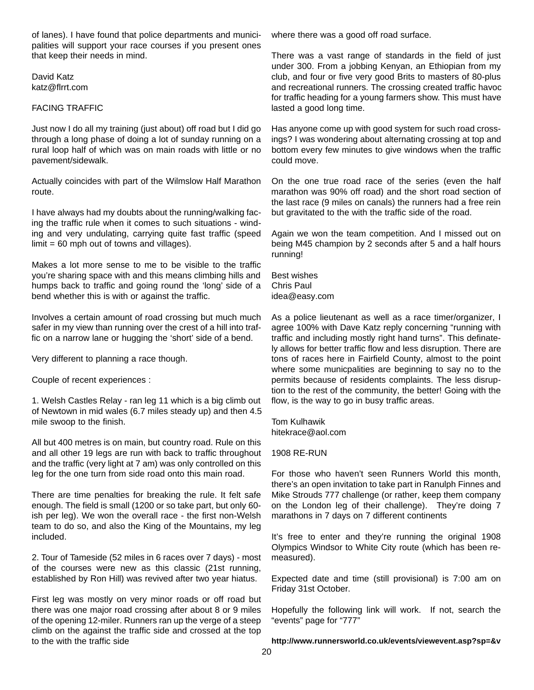of lanes). I have found that police departments and municipalities will support your race courses if you present ones that keep their needs in mind.

David Katz katz@flrrt.com

#### FACING TRAFFIC

Just now I do all my training (just about) off road but I did go through a long phase of doing a lot of sunday running on a rural loop half of which was on main roads with little or no pavement/sidewalk.

Actually coincides with part of the Wilmslow Half Marathon route.

I have always had my doubts about the running/walking facing the traffic rule when it comes to such situations - winding and very undulating, carrying quite fast traffic (speed  $limit = 60$  mph out of towns and villages).

Makes a lot more sense to me to be visible to the traffic you're sharing space with and this means climbing hills and humps back to traffic and going round the 'long' side of a bend whether this is with or against the traffic.

Involves a certain amount of road crossing but much much safer in my view than running over the crest of a hill into traffic on a narrow lane or hugging the 'short' side of a bend.

Very different to planning a race though.

Couple of recent experiences :

1. Welsh Castles Relay - ran leg 11 which is a big climb out of Newtown in mid wales (6.7 miles steady up) and then 4.5 mile swoop to the finish.

All but 400 metres is on main, but country road. Rule on this and all other 19 legs are run with back to traffic throughout and the traffic (very light at 7 am) was only controlled on this leg for the one turn from side road onto this main road.

There are time penalties for breaking the rule. It felt safe enough. The field is small (1200 or so take part, but only 60 ish per leg). We won the overall race - the first non-Welsh team to do so, and also the King of the Mountains, my leg included.

2. Tour of Tameside (52 miles in 6 races over 7 days) - most of the courses were new as this classic (21st running, established by Ron Hill) was revived after two year hiatus.

First leg was mostly on very minor roads or off road but there was one major road crossing after about 8 or 9 miles of the opening 12-miler. Runners ran up the verge of a steep climb on the against the traffic side and crossed at the top to the with the traffic side

where there was a good off road surface.

There was a vast range of standards in the field of just under 300. From a jobbing Kenyan, an Ethiopian from my club, and four or five very good Brits to masters of 80-plus and recreational runners. The crossing created traffic havoc for traffic heading for a young farmers show. This must have lasted a good long time.

Has anyone come up with good system for such road crossings? I was wondering about alternating crossing at top and bottom every few minutes to give windows when the traffic could move.

On the one true road race of the series (even the half marathon was 90% off road) and the short road section of the last race (9 miles on canals) the runners had a free rein but gravitated to the with the traffic side of the road.

Again we won the team competition. And I missed out on being M45 champion by 2 seconds after 5 and a half hours running!

Best wishes Chris Paul idea@easy.com

As a police lieutenant as well as a race timer/organizer, I agree 100% with Dave Katz reply concerning "running with traffic and including mostly right hand turns". This definately allows for better traffic flow and less disruption. There are tons of races here in Fairfield County, almost to the point where some municpalities are beginning to say no to the permits because of residents complaints. The less disruption to the rest of the community, the better! Going with the flow, is the way to go in busy traffic areas.

Tom Kulhawik hitekrace@aol.com

#### 1908 RE-RUN

For those who haven't seen Runners World this month, there's an open invitation to take part in Ranulph Finnes and Mike Strouds 777 challenge (or rather, keep them company on the London leg of their challenge). They're doing 7 marathons in 7 days on 7 different continents

It's free to enter and they're running the original 1908 Olympics Windsor to White City route (which has been remeasured).

Expected date and time (still provisional) is 7:00 am on Friday 31st October.

Hopefully the following link will work. If not, search the "events" page for "777"

http://www.runnersworld.co.uk/events/viewevent.asp?sp=&v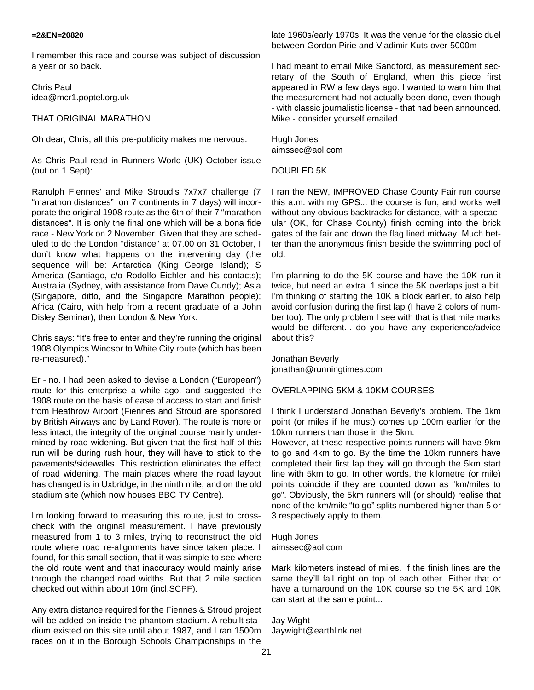#### **=2&EN=20820**

I remember this race and course was subject of discussion a year or so back.

Chris Paul idea@mcr1.poptel.org.uk

#### THAT ORIGINAL MARATHON

Oh dear, Chris, all this pre-publicity makes me nervous.

As Chris Paul read in Runners World (UK) October issue (out on 1 Sept):

Ranulph Fiennes' and Mike Stroud's 7x7x7 challenge (7 "marathon distances" on 7 continents in 7 days) will incorporate the original 1908 route as the 6th of their 7 "marathon distances". It is only the final one which will be a bona fide race - New York on 2 November. Given that they are scheduled to do the London "distance" at 07.00 on 31 October, I don't know what happens on the intervening day (the sequence will be: Antarctica (King George Island); S America (Santiago, c/o Rodolfo Eichler and his contacts); Australia (Sydney, with assistance from Dave Cundy); Asia (Singapore, ditto, and the Singapore Marathon people); Africa (Cairo, with help from a recent graduate of a John Disley Seminar); then London & New York.

Chris says: "It's free to enter and they're running the original 1908 Olympics Windsor to White City route (which has been re-measured)."

Er - no. I had been asked to devise a London ("European") route for this enterprise a while ago, and suggested the 1908 route on the basis of ease of access to start and finish from Heathrow Airport (Fiennes and Stroud are sponsored by British Airways and by Land Rover). The route is more or less intact, the integrity of the original course mainly undermined by road widening. But given that the first half of this run will be during rush hour, they will have to stick to the pavements/sidewalks. This restriction eliminates the effect of road widening. The main places where the road layout has changed is in Uxbridge, in the ninth mile, and on the old stadium site (which now houses BBC TV Centre).

I'm looking forward to measuring this route, just to crosscheck with the original measurement. I have previously measured from 1 to 3 miles, trying to reconstruct the old route where road re-alignments have since taken place. I found, for this small section, that it was simple to see where the old route went and that inaccuracy would mainly arise through the changed road widths. But that 2 mile section checked out within about 10m (incl.SCPF).

Any extra distance required for the Fiennes & Stroud project will be added on inside the phantom stadium. A rebuilt stadium existed on this site until about 1987, and I ran 1500m races on it in the Borough Schools Championships in the

late 1960s/early 1970s. It was the venue for the classic duel between Gordon Pirie and Vladimir Kuts over 5000m

I had meant to email Mike Sandford, as measurement secretary of the South of England, when this piece first appeared in RW a few days ago. I wanted to warn him that the measurement had not actually been done, even though - with classic journalistic license - that had been announced. Mike - consider yourself emailed.

Hugh Jones aimssec@aol.com

#### DOUBLED 5K

I ran the NEW, IMPROVED Chase County Fair run course this a.m. with my GPS... the course is fun, and works well without any obvious backtracks for distance, with a specacular (OK, for Chase County) finish coming into the brick gates of the fair and down the flag lined midway. Much better than the anonymous finish beside the swimming pool of old.

I'm planning to do the 5K course and have the 10K run it twice, but need an extra .1 since the 5K overlaps just a bit. I'm thinking of starting the 10K a block earlier, to also help avoid confusion during the first lap (I have 2 colors of number too). The only problem I see with that is that mile marks would be different... do you have any experience/advice about this?

Jonathan Beverly jonathan@runningtimes.com

#### OVERLAPPING 5KM & 10KM COURSES

I think I understand Jonathan Beverly's problem. The 1km point (or miles if he must) comes up 100m earlier for the 10km runners than those in the 5km.

However, at these respective points runners will have 9km to go and 4km to go. By the time the 10km runners have completed their first lap they will go through the 5km start line with 5km to go. In other words, the kilometre (or mile) points coincide if they are counted down as "km/miles to go". Obviously, the 5km runners will (or should) realise that none of the km/mile "to go" splits numbered higher than 5 or 3 respectively apply to them.

Hugh Jones aimssec@aol.com

Mark kilometers instead of miles. If the finish lines are the same they'll fall right on top of each other. Either that or have a turnaround on the 10K course so the 5K and 10K can start at the same point...

Jay Wight Jaywight@earthlink.net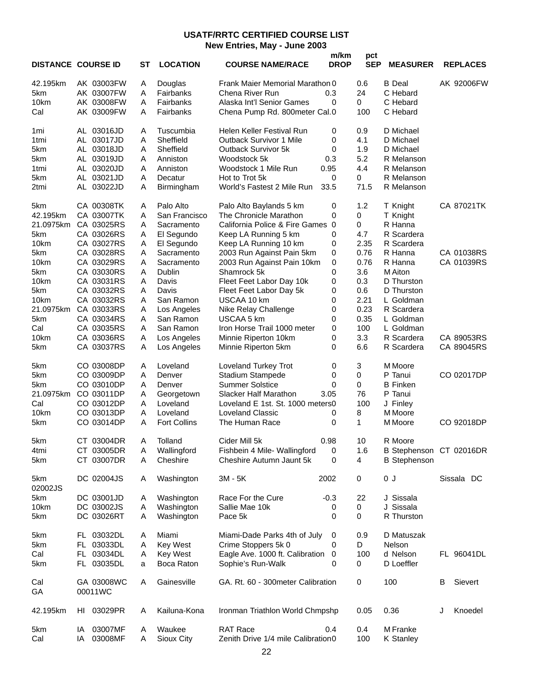#### **USATF/RRTC CERTIFIED COURSE LIST New Entries, May - June 2003**

| 42.195km<br>AK 03003FW<br>Douglas<br>Frank Maier Memorial Marathon 0<br>0.6<br><b>B</b> Deal<br>AK 92006FW<br>Α<br>5km<br>A<br>Fairbanks<br>24<br>C Hebard<br>AK 03007FW<br>Chena River Run<br>0.3<br>$\mathbf 0$<br>10km<br>AK 03008FW<br>Α<br>Fairbanks<br>Alaska Int'l Senior Games<br>0<br>C Hebard<br>Cal<br>AK 03009FW<br>Α<br>Fairbanks<br>Chena Pump Rd. 800meter Cal.0<br>100<br>C Hebard<br>A<br>AL 03016JD<br>Tuscumbia<br>Helen Keller Festival Run<br>0<br>0.9<br>D Michael<br>1mi<br>A<br>Sheffield<br>AL 03017JD<br><b>Outback Survivor 1 Mile</b><br>0<br>4.1<br>D Michael<br>1 <sub>tmi</sub><br>Sheffield<br>5km<br>AL 03018JD<br>Α<br>Outback Survivor 5k<br>0<br>1.9<br>D Michael<br>0.3<br>5.2<br>5km<br>AL 03019JD<br>Α<br>Anniston<br>Woodstock 5k<br>R Melanson<br>0.95<br>4.4<br>AL 03020JD<br>Α<br>Anniston<br>Woodstock 1 Mile Run<br>R Melanson<br>1tmi<br>AL 03021JD<br>0<br>Α<br>Hot to Trot 5k<br>0<br>R Melanson<br>5km<br>Decatur<br>33.5<br>71.5<br>2tmi<br>AL 03022JD<br>Α<br>World's Fastest 2 Mile Run<br>R Melanson<br>Birmingham<br>Palo Alto<br>1.2<br>CA 00308TK<br>Α<br>Palo Alto Baylands 5 km<br>0<br>CA 87021TK<br>5km<br>T Knight<br>CA 03007TK<br>The Chronicle Marathon<br>0<br>42.195km<br>Α<br>San Francisco<br>0<br>T Knight<br>CA 03025RS<br>California Police & Fire Games<br>0<br>R Hanna<br>21.0975km<br>Α<br>Sacramento<br>$\overline{0}$<br>4.7<br>R Scardera<br>5km<br>CA 03026RS<br>Α<br>El Segundo<br>Keep LA Running 5 km<br>0<br>2.35<br>10km<br>CA 03027RS<br>Α<br>El Segundo<br>Keep LA Running 10 km<br>0<br>R Scardera<br>0.76<br>CA 03028RS<br>Α<br>Sacramento<br>2003 Run Against Pain 5km<br>0<br>R Hanna<br>CA 01038RS<br>5km<br>CA 03029RS<br>0<br>10km<br>Α<br>Sacramento<br>2003 Run Against Pain 10km<br>0.76<br>R Hanna<br>CA 01039RS<br>CA 03030RS<br>0<br>3.6<br>5km<br>Α<br>Dublin<br>Shamrock 5k<br>M Aiton<br>Α<br>0<br>10km<br>CA 03031RS<br>Fleet Feet Labor Day 10k<br>0.3<br>D Thurston<br>Davis<br>5km<br>CA 03032RS<br>Α<br>Davis<br>Fleet Feet Labor Day 5k<br>0<br>0.6<br>D Thurston<br>2.21<br>10km<br>CA 03032RS<br>Α<br>San Ramon<br>USCAA 10 km<br>0<br>L Goldman<br>21.0975km<br>0.23<br>CA 03033RS<br>Α<br>Los Angeles<br>Nike Relay Challenge<br>0<br>R Scardera<br>5km<br>A<br>0.35<br>CA 03034RS<br>San Ramon<br>USCAA 5 km<br>0<br>L Goldman<br>Cal<br>A<br>100<br>CA 03035RS<br>San Ramon<br>Iron Horse Trail 1000 meter<br>0<br>L Goldman<br>0<br>3.3<br>CA 89053RS<br>10km<br>CA 03036RS<br>Α<br>Los Angeles<br>Minnie Riperton 10km<br>R Scardera<br>6.6<br>5km<br>CA 03037RS<br>Α<br>Los Angeles<br>Minnie Riperton 5km<br>0<br>R Scardera<br>CA 89045RS<br>3<br>CO 03008DP<br>Α<br>Loveland<br>Loveland Turkey Trot<br>0<br>M Moore<br>5km | <b>REPLACES</b> |
|----------------------------------------------------------------------------------------------------------------------------------------------------------------------------------------------------------------------------------------------------------------------------------------------------------------------------------------------------------------------------------------------------------------------------------------------------------------------------------------------------------------------------------------------------------------------------------------------------------------------------------------------------------------------------------------------------------------------------------------------------------------------------------------------------------------------------------------------------------------------------------------------------------------------------------------------------------------------------------------------------------------------------------------------------------------------------------------------------------------------------------------------------------------------------------------------------------------------------------------------------------------------------------------------------------------------------------------------------------------------------------------------------------------------------------------------------------------------------------------------------------------------------------------------------------------------------------------------------------------------------------------------------------------------------------------------------------------------------------------------------------------------------------------------------------------------------------------------------------------------------------------------------------------------------------------------------------------------------------------------------------------------------------------------------------------------------------------------------------------------------------------------------------------------------------------------------------------------------------------------------------------------------------------------------------------------------------------------------------------------------------------------------------------------------------------------------------------------------------------------------------------------------------------------------------------------------------------------------------------------------------------------------------------------------------------------------------------------------------------------------|-----------------|
|                                                                                                                                                                                                                                                                                                                                                                                                                                                                                                                                                                                                                                                                                                                                                                                                                                                                                                                                                                                                                                                                                                                                                                                                                                                                                                                                                                                                                                                                                                                                                                                                                                                                                                                                                                                                                                                                                                                                                                                                                                                                                                                                                                                                                                                                                                                                                                                                                                                                                                                                                                                                                                                                                                                                                    |                 |
|                                                                                                                                                                                                                                                                                                                                                                                                                                                                                                                                                                                                                                                                                                                                                                                                                                                                                                                                                                                                                                                                                                                                                                                                                                                                                                                                                                                                                                                                                                                                                                                                                                                                                                                                                                                                                                                                                                                                                                                                                                                                                                                                                                                                                                                                                                                                                                                                                                                                                                                                                                                                                                                                                                                                                    |                 |
|                                                                                                                                                                                                                                                                                                                                                                                                                                                                                                                                                                                                                                                                                                                                                                                                                                                                                                                                                                                                                                                                                                                                                                                                                                                                                                                                                                                                                                                                                                                                                                                                                                                                                                                                                                                                                                                                                                                                                                                                                                                                                                                                                                                                                                                                                                                                                                                                                                                                                                                                                                                                                                                                                                                                                    |                 |
|                                                                                                                                                                                                                                                                                                                                                                                                                                                                                                                                                                                                                                                                                                                                                                                                                                                                                                                                                                                                                                                                                                                                                                                                                                                                                                                                                                                                                                                                                                                                                                                                                                                                                                                                                                                                                                                                                                                                                                                                                                                                                                                                                                                                                                                                                                                                                                                                                                                                                                                                                                                                                                                                                                                                                    |                 |
|                                                                                                                                                                                                                                                                                                                                                                                                                                                                                                                                                                                                                                                                                                                                                                                                                                                                                                                                                                                                                                                                                                                                                                                                                                                                                                                                                                                                                                                                                                                                                                                                                                                                                                                                                                                                                                                                                                                                                                                                                                                                                                                                                                                                                                                                                                                                                                                                                                                                                                                                                                                                                                                                                                                                                    |                 |
|                                                                                                                                                                                                                                                                                                                                                                                                                                                                                                                                                                                                                                                                                                                                                                                                                                                                                                                                                                                                                                                                                                                                                                                                                                                                                                                                                                                                                                                                                                                                                                                                                                                                                                                                                                                                                                                                                                                                                                                                                                                                                                                                                                                                                                                                                                                                                                                                                                                                                                                                                                                                                                                                                                                                                    |                 |
|                                                                                                                                                                                                                                                                                                                                                                                                                                                                                                                                                                                                                                                                                                                                                                                                                                                                                                                                                                                                                                                                                                                                                                                                                                                                                                                                                                                                                                                                                                                                                                                                                                                                                                                                                                                                                                                                                                                                                                                                                                                                                                                                                                                                                                                                                                                                                                                                                                                                                                                                                                                                                                                                                                                                                    |                 |
|                                                                                                                                                                                                                                                                                                                                                                                                                                                                                                                                                                                                                                                                                                                                                                                                                                                                                                                                                                                                                                                                                                                                                                                                                                                                                                                                                                                                                                                                                                                                                                                                                                                                                                                                                                                                                                                                                                                                                                                                                                                                                                                                                                                                                                                                                                                                                                                                                                                                                                                                                                                                                                                                                                                                                    |                 |
|                                                                                                                                                                                                                                                                                                                                                                                                                                                                                                                                                                                                                                                                                                                                                                                                                                                                                                                                                                                                                                                                                                                                                                                                                                                                                                                                                                                                                                                                                                                                                                                                                                                                                                                                                                                                                                                                                                                                                                                                                                                                                                                                                                                                                                                                                                                                                                                                                                                                                                                                                                                                                                                                                                                                                    |                 |
|                                                                                                                                                                                                                                                                                                                                                                                                                                                                                                                                                                                                                                                                                                                                                                                                                                                                                                                                                                                                                                                                                                                                                                                                                                                                                                                                                                                                                                                                                                                                                                                                                                                                                                                                                                                                                                                                                                                                                                                                                                                                                                                                                                                                                                                                                                                                                                                                                                                                                                                                                                                                                                                                                                                                                    |                 |
|                                                                                                                                                                                                                                                                                                                                                                                                                                                                                                                                                                                                                                                                                                                                                                                                                                                                                                                                                                                                                                                                                                                                                                                                                                                                                                                                                                                                                                                                                                                                                                                                                                                                                                                                                                                                                                                                                                                                                                                                                                                                                                                                                                                                                                                                                                                                                                                                                                                                                                                                                                                                                                                                                                                                                    |                 |
|                                                                                                                                                                                                                                                                                                                                                                                                                                                                                                                                                                                                                                                                                                                                                                                                                                                                                                                                                                                                                                                                                                                                                                                                                                                                                                                                                                                                                                                                                                                                                                                                                                                                                                                                                                                                                                                                                                                                                                                                                                                                                                                                                                                                                                                                                                                                                                                                                                                                                                                                                                                                                                                                                                                                                    |                 |
|                                                                                                                                                                                                                                                                                                                                                                                                                                                                                                                                                                                                                                                                                                                                                                                                                                                                                                                                                                                                                                                                                                                                                                                                                                                                                                                                                                                                                                                                                                                                                                                                                                                                                                                                                                                                                                                                                                                                                                                                                                                                                                                                                                                                                                                                                                                                                                                                                                                                                                                                                                                                                                                                                                                                                    |                 |
|                                                                                                                                                                                                                                                                                                                                                                                                                                                                                                                                                                                                                                                                                                                                                                                                                                                                                                                                                                                                                                                                                                                                                                                                                                                                                                                                                                                                                                                                                                                                                                                                                                                                                                                                                                                                                                                                                                                                                                                                                                                                                                                                                                                                                                                                                                                                                                                                                                                                                                                                                                                                                                                                                                                                                    |                 |
|                                                                                                                                                                                                                                                                                                                                                                                                                                                                                                                                                                                                                                                                                                                                                                                                                                                                                                                                                                                                                                                                                                                                                                                                                                                                                                                                                                                                                                                                                                                                                                                                                                                                                                                                                                                                                                                                                                                                                                                                                                                                                                                                                                                                                                                                                                                                                                                                                                                                                                                                                                                                                                                                                                                                                    |                 |
|                                                                                                                                                                                                                                                                                                                                                                                                                                                                                                                                                                                                                                                                                                                                                                                                                                                                                                                                                                                                                                                                                                                                                                                                                                                                                                                                                                                                                                                                                                                                                                                                                                                                                                                                                                                                                                                                                                                                                                                                                                                                                                                                                                                                                                                                                                                                                                                                                                                                                                                                                                                                                                                                                                                                                    |                 |
|                                                                                                                                                                                                                                                                                                                                                                                                                                                                                                                                                                                                                                                                                                                                                                                                                                                                                                                                                                                                                                                                                                                                                                                                                                                                                                                                                                                                                                                                                                                                                                                                                                                                                                                                                                                                                                                                                                                                                                                                                                                                                                                                                                                                                                                                                                                                                                                                                                                                                                                                                                                                                                                                                                                                                    |                 |
|                                                                                                                                                                                                                                                                                                                                                                                                                                                                                                                                                                                                                                                                                                                                                                                                                                                                                                                                                                                                                                                                                                                                                                                                                                                                                                                                                                                                                                                                                                                                                                                                                                                                                                                                                                                                                                                                                                                                                                                                                                                                                                                                                                                                                                                                                                                                                                                                                                                                                                                                                                                                                                                                                                                                                    |                 |
|                                                                                                                                                                                                                                                                                                                                                                                                                                                                                                                                                                                                                                                                                                                                                                                                                                                                                                                                                                                                                                                                                                                                                                                                                                                                                                                                                                                                                                                                                                                                                                                                                                                                                                                                                                                                                                                                                                                                                                                                                                                                                                                                                                                                                                                                                                                                                                                                                                                                                                                                                                                                                                                                                                                                                    |                 |
|                                                                                                                                                                                                                                                                                                                                                                                                                                                                                                                                                                                                                                                                                                                                                                                                                                                                                                                                                                                                                                                                                                                                                                                                                                                                                                                                                                                                                                                                                                                                                                                                                                                                                                                                                                                                                                                                                                                                                                                                                                                                                                                                                                                                                                                                                                                                                                                                                                                                                                                                                                                                                                                                                                                                                    |                 |
|                                                                                                                                                                                                                                                                                                                                                                                                                                                                                                                                                                                                                                                                                                                                                                                                                                                                                                                                                                                                                                                                                                                                                                                                                                                                                                                                                                                                                                                                                                                                                                                                                                                                                                                                                                                                                                                                                                                                                                                                                                                                                                                                                                                                                                                                                                                                                                                                                                                                                                                                                                                                                                                                                                                                                    |                 |
|                                                                                                                                                                                                                                                                                                                                                                                                                                                                                                                                                                                                                                                                                                                                                                                                                                                                                                                                                                                                                                                                                                                                                                                                                                                                                                                                                                                                                                                                                                                                                                                                                                                                                                                                                                                                                                                                                                                                                                                                                                                                                                                                                                                                                                                                                                                                                                                                                                                                                                                                                                                                                                                                                                                                                    |                 |
|                                                                                                                                                                                                                                                                                                                                                                                                                                                                                                                                                                                                                                                                                                                                                                                                                                                                                                                                                                                                                                                                                                                                                                                                                                                                                                                                                                                                                                                                                                                                                                                                                                                                                                                                                                                                                                                                                                                                                                                                                                                                                                                                                                                                                                                                                                                                                                                                                                                                                                                                                                                                                                                                                                                                                    |                 |
|                                                                                                                                                                                                                                                                                                                                                                                                                                                                                                                                                                                                                                                                                                                                                                                                                                                                                                                                                                                                                                                                                                                                                                                                                                                                                                                                                                                                                                                                                                                                                                                                                                                                                                                                                                                                                                                                                                                                                                                                                                                                                                                                                                                                                                                                                                                                                                                                                                                                                                                                                                                                                                                                                                                                                    |                 |
|                                                                                                                                                                                                                                                                                                                                                                                                                                                                                                                                                                                                                                                                                                                                                                                                                                                                                                                                                                                                                                                                                                                                                                                                                                                                                                                                                                                                                                                                                                                                                                                                                                                                                                                                                                                                                                                                                                                                                                                                                                                                                                                                                                                                                                                                                                                                                                                                                                                                                                                                                                                                                                                                                                                                                    |                 |
|                                                                                                                                                                                                                                                                                                                                                                                                                                                                                                                                                                                                                                                                                                                                                                                                                                                                                                                                                                                                                                                                                                                                                                                                                                                                                                                                                                                                                                                                                                                                                                                                                                                                                                                                                                                                                                                                                                                                                                                                                                                                                                                                                                                                                                                                                                                                                                                                                                                                                                                                                                                                                                                                                                                                                    |                 |
|                                                                                                                                                                                                                                                                                                                                                                                                                                                                                                                                                                                                                                                                                                                                                                                                                                                                                                                                                                                                                                                                                                                                                                                                                                                                                                                                                                                                                                                                                                                                                                                                                                                                                                                                                                                                                                                                                                                                                                                                                                                                                                                                                                                                                                                                                                                                                                                                                                                                                                                                                                                                                                                                                                                                                    |                 |
|                                                                                                                                                                                                                                                                                                                                                                                                                                                                                                                                                                                                                                                                                                                                                                                                                                                                                                                                                                                                                                                                                                                                                                                                                                                                                                                                                                                                                                                                                                                                                                                                                                                                                                                                                                                                                                                                                                                                                                                                                                                                                                                                                                                                                                                                                                                                                                                                                                                                                                                                                                                                                                                                                                                                                    |                 |
| 5km<br>0<br>CO 03009DP<br>Α<br>Stadium Stampede<br>0<br>P Tanui<br>Denver                                                                                                                                                                                                                                                                                                                                                                                                                                                                                                                                                                                                                                                                                                                                                                                                                                                                                                                                                                                                                                                                                                                                                                                                                                                                                                                                                                                                                                                                                                                                                                                                                                                                                                                                                                                                                                                                                                                                                                                                                                                                                                                                                                                                                                                                                                                                                                                                                                                                                                                                                                                                                                                                          | CO 02017DP      |
| 0<br>5km<br>CO 03010DP<br>Α<br>Denver<br><b>Summer Solstice</b><br>0<br><b>B</b> Finken                                                                                                                                                                                                                                                                                                                                                                                                                                                                                                                                                                                                                                                                                                                                                                                                                                                                                                                                                                                                                                                                                                                                                                                                                                                                                                                                                                                                                                                                                                                                                                                                                                                                                                                                                                                                                                                                                                                                                                                                                                                                                                                                                                                                                                                                                                                                                                                                                                                                                                                                                                                                                                                            |                 |
| 76<br>21.0975km<br>CO 03011DP<br>Slacker Half Marathon<br>3.05<br>P Tanui<br>Α<br>Georgetown                                                                                                                                                                                                                                                                                                                                                                                                                                                                                                                                                                                                                                                                                                                                                                                                                                                                                                                                                                                                                                                                                                                                                                                                                                                                                                                                                                                                                                                                                                                                                                                                                                                                                                                                                                                                                                                                                                                                                                                                                                                                                                                                                                                                                                                                                                                                                                                                                                                                                                                                                                                                                                                       |                 |
| Cal<br>100<br>CO 03012DP<br>Α<br>Loveland<br>Loveland E 1st. St. 1000 meters0<br>J Finley                                                                                                                                                                                                                                                                                                                                                                                                                                                                                                                                                                                                                                                                                                                                                                                                                                                                                                                                                                                                                                                                                                                                                                                                                                                                                                                                                                                                                                                                                                                                                                                                                                                                                                                                                                                                                                                                                                                                                                                                                                                                                                                                                                                                                                                                                                                                                                                                                                                                                                                                                                                                                                                          |                 |
| 10km<br>CO 03013DP<br>8<br>Α<br>Loveland<br><b>Loveland Classic</b><br>0<br>M Moore                                                                                                                                                                                                                                                                                                                                                                                                                                                                                                                                                                                                                                                                                                                                                                                                                                                                                                                                                                                                                                                                                                                                                                                                                                                                                                                                                                                                                                                                                                                                                                                                                                                                                                                                                                                                                                                                                                                                                                                                                                                                                                                                                                                                                                                                                                                                                                                                                                                                                                                                                                                                                                                                |                 |
| 1<br>5km<br>CO 03014DP<br>Α<br><b>Fort Collins</b><br>0<br>CO 92018DP<br>The Human Race<br>M Moore                                                                                                                                                                                                                                                                                                                                                                                                                                                                                                                                                                                                                                                                                                                                                                                                                                                                                                                                                                                                                                                                                                                                                                                                                                                                                                                                                                                                                                                                                                                                                                                                                                                                                                                                                                                                                                                                                                                                                                                                                                                                                                                                                                                                                                                                                                                                                                                                                                                                                                                                                                                                                                                 |                 |
| 5km<br>CT 03004DR<br>0.98<br>10<br>Tolland<br>Cider Mill 5k<br>R Moore<br>Α                                                                                                                                                                                                                                                                                                                                                                                                                                                                                                                                                                                                                                                                                                                                                                                                                                                                                                                                                                                                                                                                                                                                                                                                                                                                                                                                                                                                                                                                                                                                                                                                                                                                                                                                                                                                                                                                                                                                                                                                                                                                                                                                                                                                                                                                                                                                                                                                                                                                                                                                                                                                                                                                        |                 |
| CT 03005DR<br>1.6<br>B Stephenson CT 02016DR<br>4tmi<br>Wallingford<br>Fishbein 4 Mile- Wallingford<br>0<br>Α                                                                                                                                                                                                                                                                                                                                                                                                                                                                                                                                                                                                                                                                                                                                                                                                                                                                                                                                                                                                                                                                                                                                                                                                                                                                                                                                                                                                                                                                                                                                                                                                                                                                                                                                                                                                                                                                                                                                                                                                                                                                                                                                                                                                                                                                                                                                                                                                                                                                                                                                                                                                                                      |                 |
| CT 03007DR<br>Cheshire<br>4<br>Α<br>Cheshire Autumn Jaunt 5k<br><b>B</b> Stephenson<br>5km<br>0                                                                                                                                                                                                                                                                                                                                                                                                                                                                                                                                                                                                                                                                                                                                                                                                                                                                                                                                                                                                                                                                                                                                                                                                                                                                                                                                                                                                                                                                                                                                                                                                                                                                                                                                                                                                                                                                                                                                                                                                                                                                                                                                                                                                                                                                                                                                                                                                                                                                                                                                                                                                                                                    |                 |
| DC 02004JS<br>0J<br>Α<br>Washington<br>3M - 5K<br>2002<br>0<br>Sissala DC<br>5km<br>02002JS                                                                                                                                                                                                                                                                                                                                                                                                                                                                                                                                                                                                                                                                                                                                                                                                                                                                                                                                                                                                                                                                                                                                                                                                                                                                                                                                                                                                                                                                                                                                                                                                                                                                                                                                                                                                                                                                                                                                                                                                                                                                                                                                                                                                                                                                                                                                                                                                                                                                                                                                                                                                                                                        |                 |
| DC 03001JD<br>J Sissala<br>5km<br>Α<br>Washington<br>Race For the Cure<br>22<br>$-0.3$                                                                                                                                                                                                                                                                                                                                                                                                                                                                                                                                                                                                                                                                                                                                                                                                                                                                                                                                                                                                                                                                                                                                                                                                                                                                                                                                                                                                                                                                                                                                                                                                                                                                                                                                                                                                                                                                                                                                                                                                                                                                                                                                                                                                                                                                                                                                                                                                                                                                                                                                                                                                                                                             |                 |
| DC 03002JS<br>0<br>J Sissala<br>10km<br>Α<br>Washington<br>Sallie Mae 10k<br>0                                                                                                                                                                                                                                                                                                                                                                                                                                                                                                                                                                                                                                                                                                                                                                                                                                                                                                                                                                                                                                                                                                                                                                                                                                                                                                                                                                                                                                                                                                                                                                                                                                                                                                                                                                                                                                                                                                                                                                                                                                                                                                                                                                                                                                                                                                                                                                                                                                                                                                                                                                                                                                                                     |                 |
| 0<br>R Thurston<br>5km<br>DC 03026RT<br>Α<br>Washington<br>Pace 5k<br>0                                                                                                                                                                                                                                                                                                                                                                                                                                                                                                                                                                                                                                                                                                                                                                                                                                                                                                                                                                                                                                                                                                                                                                                                                                                                                                                                                                                                                                                                                                                                                                                                                                                                                                                                                                                                                                                                                                                                                                                                                                                                                                                                                                                                                                                                                                                                                                                                                                                                                                                                                                                                                                                                            |                 |
| FL 03032DL<br>Α<br>Miami<br>Miami-Dade Parks 4th of July<br>0.9<br>D Matuszak<br>5km<br>0                                                                                                                                                                                                                                                                                                                                                                                                                                                                                                                                                                                                                                                                                                                                                                                                                                                                                                                                                                                                                                                                                                                                                                                                                                                                                                                                                                                                                                                                                                                                                                                                                                                                                                                                                                                                                                                                                                                                                                                                                                                                                                                                                                                                                                                                                                                                                                                                                                                                                                                                                                                                                                                          |                 |
| 5km<br>03033DL<br><b>Key West</b><br>Crime Stoppers 5k 0<br>D<br>Nelson<br>FL.<br>A<br>0                                                                                                                                                                                                                                                                                                                                                                                                                                                                                                                                                                                                                                                                                                                                                                                                                                                                                                                                                                                                                                                                                                                                                                                                                                                                                                                                                                                                                                                                                                                                                                                                                                                                                                                                                                                                                                                                                                                                                                                                                                                                                                                                                                                                                                                                                                                                                                                                                                                                                                                                                                                                                                                           |                 |
| FL 03034DL<br>Eagle Ave. 1000 ft. Calibration<br>d Nelson<br>Cal<br>Α<br><b>Key West</b><br>100<br>FL 96041DL<br>0                                                                                                                                                                                                                                                                                                                                                                                                                                                                                                                                                                                                                                                                                                                                                                                                                                                                                                                                                                                                                                                                                                                                                                                                                                                                                                                                                                                                                                                                                                                                                                                                                                                                                                                                                                                                                                                                                                                                                                                                                                                                                                                                                                                                                                                                                                                                                                                                                                                                                                                                                                                                                                 |                 |
| 5km<br>FL 03035DL<br>Boca Raton<br>Sophie's Run-Walk<br>0<br>D Loeffler<br>0<br>a                                                                                                                                                                                                                                                                                                                                                                                                                                                                                                                                                                                                                                                                                                                                                                                                                                                                                                                                                                                                                                                                                                                                                                                                                                                                                                                                                                                                                                                                                                                                                                                                                                                                                                                                                                                                                                                                                                                                                                                                                                                                                                                                                                                                                                                                                                                                                                                                                                                                                                                                                                                                                                                                  |                 |
| GA 03008WC<br>GA. Rt. 60 - 300meter Calibration<br>Cal<br>Α<br>Gainesville<br>0<br>100<br>В<br>GA<br>00011WC                                                                                                                                                                                                                                                                                                                                                                                                                                                                                                                                                                                                                                                                                                                                                                                                                                                                                                                                                                                                                                                                                                                                                                                                                                                                                                                                                                                                                                                                                                                                                                                                                                                                                                                                                                                                                                                                                                                                                                                                                                                                                                                                                                                                                                                                                                                                                                                                                                                                                                                                                                                                                                       | Sievert         |
| 42.195km<br>03029PR<br>Kailuna-Kona<br>Ironman Triathlon World Chmpshp<br>0.05<br>HL<br>A<br>0.36<br>J                                                                                                                                                                                                                                                                                                                                                                                                                                                                                                                                                                                                                                                                                                                                                                                                                                                                                                                                                                                                                                                                                                                                                                                                                                                                                                                                                                                                                                                                                                                                                                                                                                                                                                                                                                                                                                                                                                                                                                                                                                                                                                                                                                                                                                                                                                                                                                                                                                                                                                                                                                                                                                             | Knoedel         |
| <b>RAT Race</b><br>5km<br>03007MF<br>Waukee<br>0.4<br>0.4<br>M Franke<br>Α<br>IA<br>Cal<br>Zenith Drive 1/4 mile Calibration0<br>100<br>03008MF<br>Sioux City<br>K Stanley<br>IA<br>A                                                                                                                                                                                                                                                                                                                                                                                                                                                                                                                                                                                                                                                                                                                                                                                                                                                                                                                                                                                                                                                                                                                                                                                                                                                                                                                                                                                                                                                                                                                                                                                                                                                                                                                                                                                                                                                                                                                                                                                                                                                                                                                                                                                                                                                                                                                                                                                                                                                                                                                                                              |                 |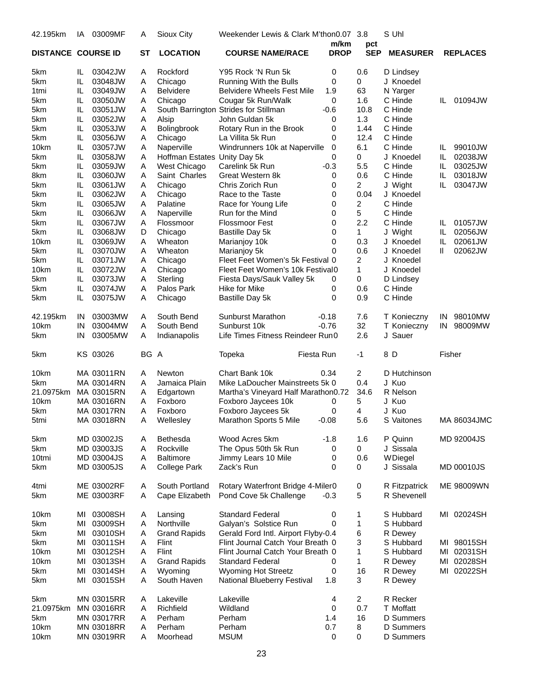| 42.195km                  | ΙA  | 03009MF                  | A         | Sioux City                   | Weekender Lewis & Clark M'thon0.07 3.8           |             |                | S Uhl           |        |                 |
|---------------------------|-----|--------------------------|-----------|------------------------------|--------------------------------------------------|-------------|----------------|-----------------|--------|-----------------|
|                           |     |                          |           |                              |                                                  | m/km        | pct            |                 |        |                 |
| <b>DISTANCE COURSE ID</b> |     |                          | <b>ST</b> | <b>LOCATION</b>              | <b>COURSE NAME/RACE</b>                          | <b>DROP</b> | <b>SEP</b>     | <b>MEASURER</b> |        | <b>REPLACES</b> |
| 5km                       | IL. | 03042JW                  | A         | Rockford                     | Y95 Rock 'N Run 5k                               | 0           | 0.6            | D Lindsey       |        |                 |
| 5km                       | IL  | 03048JW                  | Α         | Chicago                      | Running With the Bulls                           | 0           | 0              | J Knoedel       |        |                 |
| 1 <sub>tmi</sub>          | IL  | 03049JW                  | A         | <b>Belvidere</b>             | <b>Belvidere Wheels Fest Mile</b>                | 1.9         | 63             | N Yarger        |        |                 |
| 5km                       | IL  | 03050JW                  | Α         | Chicago                      | Cougar 5k Run/Walk                               | 0           | 1.6            | C Hinde         | IL.    | 01094JW         |
| 5km                       | IL  | 03051JW                  | Α         |                              | South Barrington Strides for Stillman            | $-0.6$      | 10.8           | C Hinde         |        |                 |
| 5km                       | IL  | 03052JW                  | Α         | Alsip                        | John Guldan 5k                                   | 0           | 1.3            | C Hinde         |        |                 |
| 5km                       | IL  | 03053JW                  | Α         | Bolingbrook                  | Rotary Run in the Brook                          | 0           | 1.44           | C Hinde         |        |                 |
| 5km                       | IL  | 03056JW                  | A         | Chicago                      | La Villita 5k Run                                | 0           | 12.4           | C Hinde         |        |                 |
| 10km                      | IL  | 03057JW                  | Α         | Naperville                   | Windrunners 10k at Naperville                    | 0           | 6.1            | C Hinde         | IL     | 99010JW         |
| 5km                       | IL  | 03058JW                  | Α         | Hoffman Estates Unity Day 5k |                                                  | 0           | 0              | J Knoedel       | IL     | 02038JW         |
| 5km                       | IL  | 03059JW                  | Α         | West Chicago                 | Carelink 5k Run                                  | $-0.3$      | 5.5            | C Hinde         | IL     | 03025JW         |
| 8km                       | IL  | 03060JW                  | Α         | Saint Charles                | Great Western 8k                                 | 0           | 0.6            | C Hinde         | IL     | 03018JW         |
| 5km                       | IL  | 03061JW                  | A         | Chicago                      | Chris Zorich Run                                 | 0           | $\overline{2}$ | J Wight         | IL     | 03047JW         |
| 5km                       | IL  | 03062JW                  | Α         | Chicago                      | Race to the Taste                                | 0           | 0.04           | J Knoedel       |        |                 |
| 5km                       | IL  | 03065JW                  | Α         | Palatine                     | Race for Young Life                              | 0           | 2              | C Hinde         |        |                 |
| 5km                       | IL  | 03066JW                  | Α         | Naperville                   | Run for the Mind                                 | 0           | 5              | C Hinde         |        |                 |
| 5km                       | IL  | 03067JW                  | A         | Flossmoor                    | <b>Flossmoor Fest</b>                            | 0           | 2.2            | C Hinde         | IL     | 01057JW         |
| 5km                       | IL  | 03068JW                  | D         | Chicago                      |                                                  | 0           | 1              | J Wight         | IL     | 02056JW         |
| 10km                      | IL  | 03069JW                  | Α         | Wheaton                      | Bastille Day 5k<br>Marianjoy 10k                 | 0           | 0.3            | J Knoedel       | IL     | 02061JW         |
| 5km                       | IL  |                          |           | Wheaton                      |                                                  | 0           | 0.6            | J Knoedel       | Ш      | 02062JW         |
|                           | IL  | 03070JW<br>03071JW       | Α         |                              | Marianjoy 5k<br>Fleet Feet Women's 5k Festival 0 |             | 2              | J Knoedel       |        |                 |
| 5km                       |     | 03072JW                  | Α         | Chicago                      |                                                  |             | $\mathbf{1}$   |                 |        |                 |
| 10km                      | IL  |                          | Α         | Chicago                      | Fleet Feet Women's 10k Festival0                 |             |                | J Knoedel       |        |                 |
| 5km                       | IL  | 03073JW                  | A         | Sterling                     | Fiesta Days/Sauk Valley 5k                       | 0           | 0              | D Lindsey       |        |                 |
| 5km                       | IL  | 03074JW                  | Α         | Palos Park                   | Hike for Mike                                    | 0           | 0.6            | C Hinde         |        |                 |
| 5km                       | IL  | 03075JW                  | Α         | Chicago                      | Bastille Day 5k                                  | $\Omega$    | 0.9            | C Hinde         |        |                 |
| 42.195km                  | IN  | 03003MW                  | A         | South Bend                   | Sunburst Marathon                                | $-0.18$     | 7.6            | T Konieczny     | IN     | 98010MW         |
| 10km                      | IN  | 03004MW                  | A         | South Bend                   | Sunburst 10k                                     | $-0.76$     | 32             | T Konieczny     | IN     | 98009MW         |
| 5km                       | IN  | 03005MW                  | Α         | Indianapolis                 | Life Times Fitness Reindeer Run0                 |             | 2.6            | J Sauer         |        |                 |
| 5km                       |     | KS 03026                 | BG A      |                              | Topeka                                           | Fiesta Run  | $-1$           | 8 D             | Fisher |                 |
| 10km                      |     | MA 03011RN               | A         | Newton                       | Chart Bank 10k                                   | 0.34        | 2              | D Hutchinson    |        |                 |
| 5km                       |     | MA 03014RN               | A         | Jamaica Plain                | Mike LaDoucher Mainstreets 5k 0                  |             | 0.4            | J Kuo           |        |                 |
| 21.0975km                 |     | MA 03015RN               | Α         | Edgartown                    | Martha's Vineyard Half Marathon0.72              |             | 34.6           | R Nelson        |        |                 |
| 10km                      |     | MA 03016RN               | Α         | Foxboro                      | Foxboro Jaycees 10k                              | 0           | 5              | J Kuo           |        |                 |
| 5km                       |     | MA 03017RN               | Α         | Foxboro                      | Foxboro Jaycees 5k                               | 0           | 4              | J Kuo           |        |                 |
| 5tmi                      |     | MA 03018RN               | Α         | Wellesley                    | Marathon Sports 5 Mile                           | $-0.08$     | 5.6            | S Vaitones      |        | MA 86034JMC     |
| 5km                       |     | MD 03002JS               | Α         | Bethesda                     | Wood Acres 5km                                   | $-1.8$      | 1.6            | P Quinn         |        | MD 92004JS      |
| 5km                       |     | MD 03003JS               | Α         | Rockville                    | The Opus 50th 5k Run                             | 0           | 0              | J Sissala       |        |                 |
| 10tmi                     |     | MD 03004JS               | Α         | <b>Baltimore</b>             | Jimmy Lears 10 Mile                              | 0           | 0.6            | WDiegel         |        |                 |
| 5km                       |     | MD 03005JS               | Α         | <b>College Park</b>          | Zack's Run                                       | 0           | 0              | J Sissala       |        | MD 00010JS      |
|                           |     |                          |           |                              |                                                  |             |                |                 |        |                 |
| 4tmi                      |     | ME 03002RF<br>ME 03003RF | Α         | South Portland               | Rotary Waterfront Bridge 4-Miler0                |             | 0              | R Fitzpatrick   |        | ME 98009WN      |
| 5km                       |     |                          | Α         | Cape Elizabeth               | Pond Cove 5k Challenge                           | $-0.3$      | 5              | R Shevenell     |        |                 |
| 10km                      |     | MI 03008SH               | Α         | Lansing                      | <b>Standard Federal</b>                          | 0           | 1              | S Hubbard       |        | MI 02024SH      |
| 5km                       | MI  | 03009SH                  | Α         | Northville                   | Galyan's Solstice Run                            | 0           | 1              | S Hubbard       |        |                 |
| 5km                       | MI  | 03010SH                  | Α         | <b>Grand Rapids</b>          | Gerald Ford Intl. Airport Flyby-0.4              |             | 6              | R Dewey         |        |                 |
| 5km                       | MI  | 03011SH                  | Α         | Flint                        | Flint Journal Catch Your Breath 0                |             | 3              | S Hubbard       |        | MI 98015SH      |
| 10km                      | MI  | 03012SH                  | Α         | Flint                        | Flint Journal Catch Your Breath 0                |             | 1              | S Hubbard       |        | MI 02031SH      |
| 10km                      | MI  | 03013SH                  | Α         | <b>Grand Rapids</b>          | <b>Standard Federal</b>                          | 0           | 1              | R Dewey         |        | MI 02028SH      |
| 5km                       | MI  | 03014SH                  | Α         | Wyoming                      | <b>Wyoming Hot Streetz</b>                       | 0           | 16             | R Dewey         | ΜI     | 02022SH         |
| 5km                       | MI  | 03015SH                  | Α         | South Haven                  | National Blueberry Festival                      | 1.8         | 3              | R Dewey         |        |                 |
| 5km                       |     | MN 03015RR               | Α         | Lakeville                    | Lakeville                                        | 4           | 2              | R Recker        |        |                 |
| 21.0975km                 |     | MN 03016RR               | Α         | Richfield                    | Wildland                                         | 0           | 0.7            | T Moffatt       |        |                 |
| 5km                       |     | <b>MN 03017RR</b>        | Α         | Perham                       | Perham                                           | 1.4         | 16             | D Summers       |        |                 |
| 10km                      |     | MN 03018RR               | Α         | Perham                       | Perham                                           | 0.7         | 8              | D Summers       |        |                 |
| 10km                      |     | MN 03019RR               | Α         | Moorhead                     | <b>MSUM</b>                                      | 0           | 0              | D Summers       |        |                 |
|                           |     |                          |           |                              |                                                  |             |                |                 |        |                 |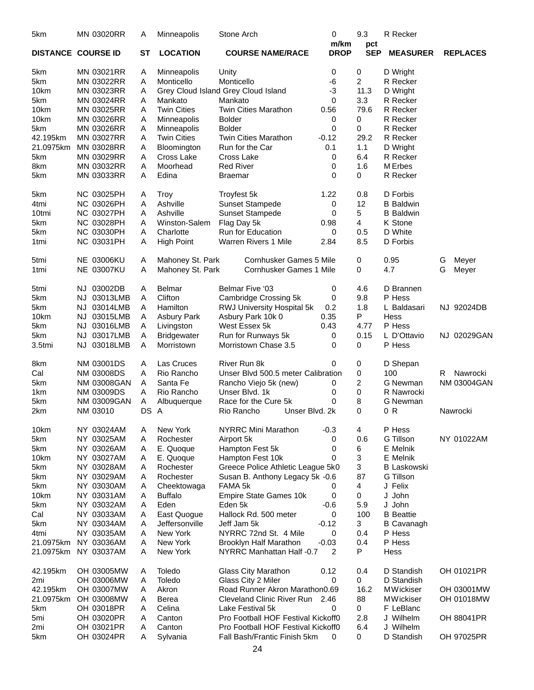| 5km                       |     | <b>MN 03020RR</b>        | Α         | Minneapolis        | Stone Arch                                          | 0                   | 9.3               | R Recker           |   |                    |
|---------------------------|-----|--------------------------|-----------|--------------------|-----------------------------------------------------|---------------------|-------------------|--------------------|---|--------------------|
| <b>DISTANCE COURSE ID</b> |     |                          | <b>ST</b> | <b>LOCATION</b>    | <b>COURSE NAME/RACE</b>                             | m/km<br><b>DROP</b> | pct<br><b>SEP</b> | <b>MEASURER</b>    |   | <b>REPLACES</b>    |
| 5km                       |     | MN 03021RR               | Α         | Minneapolis        | Unity                                               | 0                   | 0                 | D Wright           |   |                    |
| 5km                       |     | MN 03022RR               | Α         | Monticello         | Monticello                                          | -6                  | 2                 | R Recker           |   |                    |
| 10 <sub>km</sub>          |     | MN 03023RR               | Α         |                    | Grey Cloud Island Grey Cloud Island                 | -3                  | 11.3              | D Wright           |   |                    |
| 5km                       |     | <b>MN 03024RR</b>        | Α         | Mankato            | Mankato                                             | 0                   | 3.3               | R Recker           |   |                    |
| 10km                      |     | <b>MN 03025RR</b>        | Α         | <b>Twin Cities</b> | <b>Twin Cities Marathon</b>                         | 0.56                | 79.6              | R Recker           |   |                    |
| 10km                      |     | MN 03026RR               | Α         | Minneapolis        | <b>Bolder</b>                                       | 0                   | 0                 | R Recker           |   |                    |
| 5km                       |     | MN 03026RR               | Α         | Minneapolis        | <b>Bolder</b>                                       | 0                   | 0                 | R Recker           |   |                    |
| 42.195km                  |     | MN 03027RR               | Α         | <b>Twin Cities</b> | <b>Twin Cities Marathon</b>                         | $-0.12$             | 29.2              | R Recker           |   |                    |
| 21.0975km                 |     | MN 03028RR               | Α         | Bloomington        | Run for the Car                                     | 0.1                 | 1.1               | D Wright           |   |                    |
| 5km                       |     | <b>MN 03029RR</b>        | Α         | Cross Lake         | Cross Lake                                          | 0                   | 6.4               | R Recker           |   |                    |
| 8km                       |     | MN 03032RR               | Α         | Moorhead           | <b>Red River</b>                                    | 0                   | 1.6               | M Erbes            |   |                    |
|                           |     | MN 03033RR               | Α         | Edina              |                                                     | 0                   | 0                 |                    |   |                    |
| 5km                       |     |                          |           |                    | Braemar                                             |                     |                   | R Recker           |   |                    |
| 5km                       |     | <b>NC 03025PH</b>        | Α         | <b>Troy</b>        | Troyfest 5k                                         | 1.22                | 0.8               | D Forbis           |   |                    |
| 4tmi                      |     | <b>NC 03026PH</b>        | Α         | Ashville           | <b>Sunset Stampede</b>                              | 0                   | 12                | <b>B</b> Baldwin   |   |                    |
| 10tmi                     |     | <b>NC 03027PH</b>        | Α         | Ashville           | Sunset Stampede                                     | 0                   | 5                 | <b>B</b> Baldwin   |   |                    |
| 5km                       |     | <b>NC 03028PH</b>        | Α         | Winston-Salem      | Flag Day 5k                                         | 0.98                | $\overline{4}$    | K Stone            |   |                    |
| 5km                       |     | <b>NC 03030PH</b>        | Α         | Charlotte          | Run for Education                                   | 0                   | 0.5               | D White            |   |                    |
| 1tmi                      |     | NC 03031PH               | Α         | <b>High Point</b>  | <b>Warren Rivers 1 Mile</b>                         | 2.84                | 8.5               | D Forbis           |   |                    |
| 5tmi                      |     | <b>NE 03006KU</b>        | Α         | Mahoney St. Park   | <b>Cornhusker Games 5 Mile</b>                      |                     | 0                 | 0.95               | G | Meyer              |
| 1 <sub>tmi</sub>          |     | <b>NE 03007KU</b>        | Α         | Mahoney St. Park   | <b>Cornhusker Games 1 Mile</b>                      |                     | 0                 | 4.7                | G | Meyer              |
|                           |     |                          |           |                    |                                                     |                     |                   |                    |   |                    |
| 5tmi                      | NJ. | 03002DB                  | Α         | Belmar             | <b>Belmar Five '03</b>                              | 0                   | 4.6               | D Brannen          |   |                    |
| 5km                       | NJ. | 03013LMB                 | Α         | Clifton            | Cambridge Crossing 5k                               | 0                   | 9.8               | P Hess             |   |                    |
| 5km                       | NJ. | 03014LMB                 | Α         | Hamilton           | RWJ University Hospital 5k                          | 0.2                 | 1.8               | L Baldasari        |   | NJ 92024DB         |
| 10km                      | NJ. | 03015LMB                 | Α         | Asbury Park        | Asbury Park 10k 0                                   | 0.35                | P                 | Hess               |   |                    |
| 5km                       | NJ. | 03016LMB                 | Α         | Livingston         | West Essex 5k                                       | 0.43                | 4.77              | P Hess             |   |                    |
| 5km                       | NJ. | 03017LMB                 | Α         | <b>Bridgewater</b> | Run for Runways 5k                                  | 0                   | 0.15              | L D'Ottavio        |   | NJ 02029GAN        |
| 3.5tmi                    |     | NJ 03018LMB              | Α         | Morristown         | Morristown Chase 3.5                                | 0                   | 0                 | P Hess             |   |                    |
| 8km                       |     | NM 03001DS               | Α         | Las Cruces         | River Run 8k                                        | 0                   | 0                 | D Shepan           |   |                    |
| Cal                       |     | <b>NM 03008DS</b>        | Α         | Rio Rancho         | Unser Blvd 500.5 meter Calibration                  |                     | 0                 | 100                | R | Nawrocki           |
| 5km                       |     | <b>NM 03008GAN</b>       | Α         | Santa Fe           | Rancho Viejo 5k (new)                               | 0                   | 2                 | G Newman           |   | <b>NM 03004GAN</b> |
| 1 <sub>km</sub>           |     | <b>NM 03009DS</b>        | Α         | Rio Rancho         | Unser Blvd. 1k                                      | 0                   | 0                 | R Nawrocki         |   |                    |
| 5km                       |     | <b>NM 03009GAN</b>       | Α         | Albuquerque        | Race for the Cure 5k                                | 0                   | 8                 | G Newman           |   |                    |
| 2km                       |     | NM 03010                 | DS        | A                  | Rio Rancho<br>Unser Blvd. 2k                        |                     | $\Omega$          | 0 R                |   | Nawrocki           |
| 10km                      |     | NY 03024AM               | Α         | New York           | <b>NYRRC Mini Marathon</b>                          | $-0.3$              | 4                 | P Hess             |   |                    |
| 5km                       |     | NY 03025AM               | Α         | Rochester          | Airport 5k                                          | 0                   | 0.6               | G Tillson          |   | NY 01022AM         |
| 5km                       |     | NY 03026AM               | Α         | E. Quoque          | Hampton Fest 5k                                     | 0                   | 6                 | E Melnik           |   |                    |
| 10km                      |     | NY 03027AM               | A         | E. Quoque          | Hampton Fest 10k                                    | 0                   | 3                 | E Melnik           |   |                    |
| 5km                       |     | NY 03028AM               | Α         | Rochester          | Greece Police Athletic League 5k0                   |                     | 3                 | <b>B Laskowski</b> |   |                    |
| 5km                       |     | NY 03029AM               | Α         | Rochester          | Susan B. Anthony Legacy 5k -0.6                     |                     | 87                | G Tillson          |   |                    |
| 5km                       |     | NY 03030AM               | Α         | Cheektowaga        | FAMA 5k                                             | 0                   | 4                 | J Felix            |   |                    |
| 10km                      |     | NY 03031AM               | Α         | <b>Buffalo</b>     | <b>Empire State Games 10k</b>                       | 0                   | 0                 | J John             |   |                    |
| 5km                       |     | NY 03032AM               | Α         | Eden               | Eden 5k                                             | $-0.6$              | 5.9               | John<br>J          |   |                    |
| Cal                       |     | NY 03033AM               | Α         | East Quogue        | Hallock Rd. 500 meter                               | 0                   | 100               | <b>B</b> Beattie   |   |                    |
| 5km                       |     | NY 03034AM               | Α         | Jeffersonville     | Jeff Jam 5k                                         | $-0.12$             | 3                 | <b>B</b> Cavanagh  |   |                    |
| 4tmi                      |     | NY 03035AM               | A         | New York           | NYRRC 72nd St. 4 Mile                               | 0                   | 0.4               | P Hess             |   |                    |
| 21.0975km                 |     |                          |           | New York           |                                                     | $-0.03$             | 0.4               | P Hess             |   |                    |
| 21.0975km                 |     | NY 03036AM<br>NY 03037AM | Α<br>Α    | New York           | Brooklyn Half Marathon<br>NYRRC Manhattan Half -0.7 | 2                   | P                 | Hess               |   |                    |
|                           |     |                          |           |                    |                                                     |                     |                   |                    |   |                    |
| 42.195km                  |     | OH 03005MW               | Α         | Toledo             | Glass City Marathon                                 | 0.12                | 0.4               | D Standish         |   | OH 01021PR         |
| 2mi                       |     | <b>OH 03006MW</b>        | Α         | Toledo             | Glass City 2 Miler                                  | 0                   | 0                 | D Standish         |   |                    |
| 42.195km                  |     | OH 03007MW               | Α         | Akron              | Road Runner Akron Marathon0.69                      |                     | 16.2              | <b>MWickiser</b>   |   | OH 03001MW         |
| 21.0975km                 |     | OH 03008MW               | Α         | Berea              | Cleveland Clinic River Run                          | 2.46                | 88                | <b>MWickiser</b>   |   | OH 01018MW         |
| 5km                       |     | OH 03018PR               | Α         | Celina             | Lake Festival 5k                                    | 0                   | 0                 | F LeBlanc          |   |                    |
| 5mi                       |     | OH 03020PR               | Α         | Canton             | Pro Football HOF Festival Kickoff0                  |                     | 2.8               | J Wilhelm          |   | OH 88041PR         |
| 2mi                       |     | OH 03021PR               | Α         | Canton             | Pro Football HOF Festival Kickoff0                  |                     | 6.4               | J Wilhelm          |   |                    |
| 5km                       |     | OH 03024PR               | A         | Sylvania           | Fall Bash/Frantic Finish 5km                        | 0                   | 0                 | D Standish         |   | OH 97025PR         |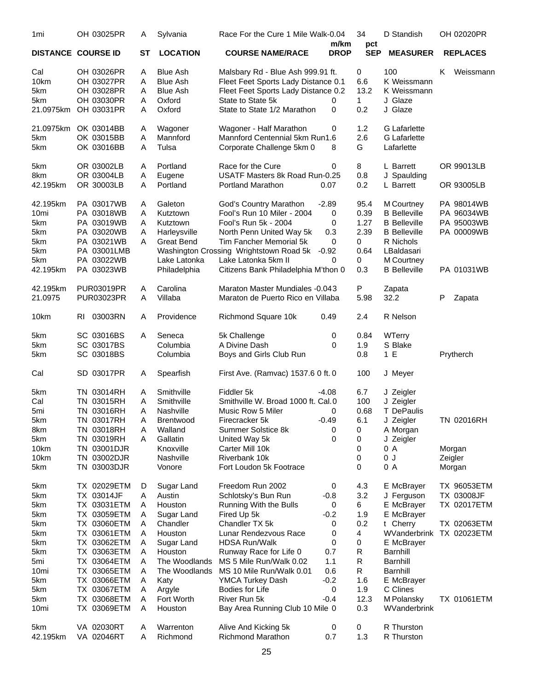| 1mi                       |     | OH 03025PR               | A         | Sylvania              | Race For the Cure 1 Mile Walk-0.04               | m/km        | 34                | D Standish               | OH 02020PR         |
|---------------------------|-----|--------------------------|-----------|-----------------------|--------------------------------------------------|-------------|-------------------|--------------------------|--------------------|
| <b>DISTANCE COURSE ID</b> |     |                          | <b>ST</b> | <b>LOCATION</b>       | <b>COURSE NAME/RACE</b>                          | <b>DROP</b> | pct<br><b>SEP</b> | <b>MEASURER</b>          | <b>REPLACES</b>    |
| Cal                       |     | OH 03026PR               | A         | <b>Blue Ash</b>       | Malsbary Rd - Blue Ash 999.91 ft.                |             | 0                 | 100                      | Weissmann<br>ĸ.    |
| 10km                      |     | OH 03027PR               | A         | <b>Blue Ash</b>       | Fleet Feet Sports Lady Distance 0.1              |             | 6.6               | K Weissmann              |                    |
| 5km                       |     | OH 03028PR               | A         | <b>Blue Ash</b>       | Fleet Feet Sports Lady Distance 0.2              |             | 13.2              | K Weissmann              |                    |
| 5km                       |     | OH 03030PR               | A         | Oxford                | State to State 5k                                | 0           | $\mathbf{1}$      | J Glaze                  |                    |
| 21.0975km                 |     | OH 03031PR               | Α         | Oxford                | State to State 1/2 Marathon                      | 0           | 0.2               | J Glaze                  |                    |
| 21.0975km                 |     | OK 03014BB               | A         | Wagoner               | Wagoner - Half Marathon                          | 0           | 1.2               | <b>G</b> Lafarlette      |                    |
| 5km                       |     | OK 03015BB               | A         | Mannford              | Mannford Centennial 5km Run1.6                   |             | 2.6               | <b>G</b> Lafarlette      |                    |
| 5km                       |     | OK 03016BB               | A         | Tulsa                 | Corporate Challenge 5km 0                        | 8           | G                 | Lafarlette               |                    |
| 5km                       |     | OR 03002LB               | A         | Portland              | Race for the Cure                                | 0           | 8                 | L Barrett                | OR 99013LB         |
| 8km                       |     | OR 03004LB               | Α         | Eugene                | USATF Masters 8k Road Run-0.25                   |             | 0.8               | J Spaulding              |                    |
| 42.195km                  |     | OR 30003LB               | Α         | Portland              | Portland Marathon                                | 0.07        | 0.2               | L Barrett                | OR 93005LB         |
| 42.195km                  |     | PA 03017WB               | Α         | Galeton               | God's Country Marathon                           | $-2.89$     | 95.4              | M Courtney               | PA 98014WB         |
| 10 <sub>mi</sub>          |     | PA 03018WB               | A         | Kutztown              | Fool's Run 10 Miler - 2004                       | 0           | 0.39              | <b>B</b> Belleville      | PA 96034WB         |
| 5km                       |     | PA 03019WB               | A         | Kutztown              | Fool's Run 5k - 2004                             | 0           | 1.27              | <b>B</b> Belleville      | PA 95003WB         |
| 5km                       |     | PA 03020WB               | A         | Harleysville          | North Penn United Way 5k                         | 0.3         | 2.39              | <b>B</b> Belleville      | PA 00009WB         |
| 5km                       |     | PA 03021WB               | A         | <b>Great Bend</b>     | Tim Fancher Memorial 5k                          | 0           | 0                 | R Nichols                |                    |
| 5km                       |     | PA 03001LMB              |           |                       | Washington Crossing Wrightstown Road 5k          | $-0.92$     | 0.64              | LBaldasari               |                    |
| 5km                       |     | PA 03022WB               |           | Lake Latonka          | Lake Latonka 5km II                              | 0           | 0                 | M Courtney               |                    |
| 42.195km                  |     | PA 03023WB               |           | Philadelphia          | Citizens Bank Philadelphia M'thon 0              |             | 0.3               | <b>B</b> Belleville      | PA 01031WB         |
| 42.195km                  |     | <b>PUR03019PR</b>        | A         | Carolina              | <b>Maraton Master Mundiales -0.043</b>           |             | P                 | Zapata                   |                    |
| 21.0975                   |     | <b>PUR03023PR</b>        | A         | Villaba               | Maraton de Puerto Rico en Villaba                |             | 5.98              | 32.2                     | P<br>Zapata        |
| 10km                      | RI. | 03003RN                  | A         | Providence            | Richmond Square 10k                              | 0.49        | 2.4               | R Nelson                 |                    |
| 5km                       |     | SC 03016BS               | A         | Seneca                | 5k Challenge                                     | 0           | 0.84              | WTerry                   |                    |
| 5km                       |     | SC 03017BS               |           | Columbia              | A Divine Dash                                    | 0           | 1.9               | S Blake                  |                    |
| 5km                       |     | SC 03018BS               |           | Columbia              | Boys and Girls Club Run                          |             | 0.8               | 1 E                      | Prytherch          |
| Cal                       |     | SD 03017PR               | A         | Spearfish             | First Ave. (Ramvac) 1537.6 0 ft. 0               |             | 100               | J Meyer                  |                    |
| 5km                       |     | TN 03014RH               | A         | Smithville            | Fiddler 5k                                       | $-4.08$     | 6.7               | J Zeigler                |                    |
| Cal                       |     | TN 03015RH               | A         | Smithville            | Smithville W. Broad 1000 ft. Cal. 0              |             | 100               | J Zeigler                |                    |
| 5mi                       |     | TN 03016RH               | A         | Nashville             | Music Row 5 Miler                                | 0           | 0.68              | T DePaulis               |                    |
| 5km                       |     | TN 03017RH               | A         | Brentwood             | Firecracker 5k                                   | $-0.49$     | 6.1               | J Zeigler                | TN 02016RH         |
| 8km                       |     | TN 03018RH               | A         | Walland               | Summer Solstice 8k                               | 0           | 0                 | A Morgan                 |                    |
| 5km                       |     | TN 03019RH               | A         | Gallatin              | United Way 5k                                    | 0           | 0                 | J Zeigler                |                    |
| 10km                      |     | TN 03001DJR              |           | Knoxville             | Carter Mill 10k                                  |             | 0                 | 0 A                      | Morgan             |
| 10km                      |     | TN 03002DJR              |           | Nashville             | Riverbank 10k                                    |             | 0                 | 0J                       | Zeigler            |
| 5km                       |     | TN 03003DJR              |           | Vonore                | Fort Loudon 5k Footrace                          |             | 0                 | 0 A                      | Morgan             |
| 5km                       |     | TX 02029ETM              | D         | Sugar Land            | Freedom Run 2002                                 | 0           | 4.3               | E McBrayer               | <b>TX 96053ETM</b> |
| 5km                       |     | TX 03014JF               | Α         | Austin                | Schlotsky's Bun Run                              | $-0.8$      | 3.2               | J Ferguson               | TX 03008JF         |
| 5km                       |     | TX 03031ETM              | A         | Houston               | Running With the Bulls                           | 0           | 6                 | E McBrayer               | TX 02017ETM        |
| 5km                       |     | TX 03059ETM              | Α         | Sugar Land            | Fired Up 5k                                      | $-0.2$      | 1.9               | E McBrayer               |                    |
| 5km                       |     | TX 03060ETM              | A         | Chandler              | Chandler TX 5k                                   | 0           | 0.2               | t Cherry                 | TX 02063ETM        |
| 5km                       |     | TX 03061ETM              | Α         | Houston               | Lunar Rendezvous Race                            | 0           | 4                 | WVanderbrink             | TX 02023ETM        |
| 5km                       |     | TX 03062ETM              | A         | Sugar Land            | <b>HDSA Run/Walk</b>                             | 0           | 0                 | E McBrayer               |                    |
| 5km                       |     | TX 03063ETM              | Α         | Houston               | Runway Race for Life 0                           | 0.7         | $\mathsf{R}$      | Barnhill                 |                    |
| 5mi                       |     | TX 03064ETM              | Α         | The Woodlands         | MS 5 Mile Run/Walk 0.02                          | 1.1         | R                 | <b>Barnhill</b>          |                    |
| 10mi                      |     | TX 03065ETM              | A         | The Woodlands         | MS 10 Mile Run/Walk 0.01                         | 0.6         | R                 | Barnhill                 |                    |
| 5km                       |     | TX 03066ETM              | A         | Katy                  | YMCA Turkey Dash                                 | $-0.2$      | 1.6               | E McBrayer               |                    |
| 5km                       |     | TX 03067ETM              | A         | Argyle                | Bodies for Life                                  | 0           | 1.9               | C Clines                 |                    |
| 5km                       |     | TX 03068ETM              | Α         | Fort Worth            | River Run 5k                                     | $-0.4$      | 12.3              | M Polansky               | <b>TX 01061ETM</b> |
| 10 <sub>mi</sub>          |     | TX 03069ETM              | A         | Houston               | Bay Area Running Club 10 Mile 0                  |             | 0.3               | WVanderbrink             |                    |
| 5km<br>42.195km           |     | VA 02030RT<br>VA 02046RT | A<br>A    | Warrenton<br>Richmond | Alive And Kicking 5k<br><b>Richmond Marathon</b> | 0<br>0.7    | 0<br>1.3          | R Thurston<br>R Thurston |                    |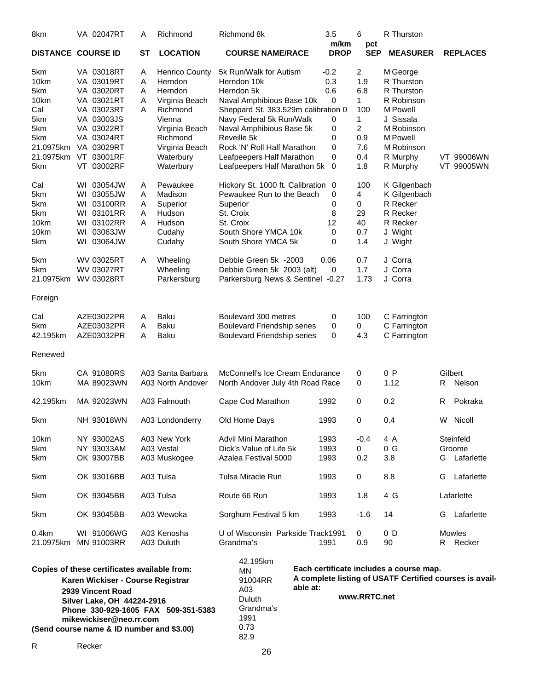| 8km                                                                                                    | VA 02047RT                | Α         | Richmond                         | Richmond 8k                                                                                                    |  | 3.5                 | 6                 | R Thurston           |    |                    |
|--------------------------------------------------------------------------------------------------------|---------------------------|-----------|----------------------------------|----------------------------------------------------------------------------------------------------------------|--|---------------------|-------------------|----------------------|----|--------------------|
|                                                                                                        | <b>DISTANCE COURSE ID</b> | <b>ST</b> | <b>LOCATION</b>                  | <b>COURSE NAME/RACE</b>                                                                                        |  | m/km<br><b>DROP</b> | pct<br><b>SEP</b> | <b>MEASURER</b>      |    | <b>REPLACES</b>    |
| 5km                                                                                                    | VA 03018RT                | Α         | <b>Henrico County</b>            | 5k Run/Walk for Autism                                                                                         |  | $-0.2$              | $\overline{a}$    | M George             |    |                    |
| 10km                                                                                                   | VA 03019RT                | Α         | Herndon                          | Herndon 10k                                                                                                    |  | 0.3                 | 1.9               | R Thurston           |    |                    |
| 5km                                                                                                    | VA 03020RT                | Α         | Herndon                          | Herndon 5k                                                                                                     |  | 0.6                 | 6.8               | R Thurston           |    |                    |
| 10km                                                                                                   | VA 03021RT                | Α         | Virginia Beach                   | Naval Amphibious Base 10k                                                                                      |  | 0                   | $\mathbf{1}$      | R Robinson           |    |                    |
| Cal                                                                                                    | VA 03023RT                | A         | Richmond                         | Sheppard St. 383.529m calibration 0                                                                            |  |                     | 100               | M Powell             |    |                    |
| 5km                                                                                                    | VA 03003JS                |           | Vienna                           | Navy Federal 5k Run/Walk                                                                                       |  | 0                   | 1                 | J Sissala            |    |                    |
| 5km                                                                                                    | VA 03022RT                |           | Virginia Beach                   | Naval Amphibious Base 5k                                                                                       |  | 0                   | $\overline{2}$    | M Robinson           |    |                    |
| 5km                                                                                                    | VA 03024RT                |           | Richmond                         | Reveille 5k                                                                                                    |  | 0                   | 0.9               | M Powell             |    |                    |
| 21.0975km                                                                                              | VA 03029RT                |           | Virginia Beach                   | Rock 'N' Roll Half Marathon                                                                                    |  | 0                   | 7.6               | M Robinson           |    |                    |
| 21.0975km                                                                                              | VT 03001RF                |           | Waterbury                        | Leafpeepers Half Marathon                                                                                      |  | 0                   | 0.4               | R Murphy             |    | VT 99006WN         |
|                                                                                                        |                           |           |                                  |                                                                                                                |  |                     | 1.8               |                      |    |                    |
| 5km                                                                                                    | VT 03002RF                |           | Waterbury                        | Leafpeepers Half Marathon 5k 0                                                                                 |  |                     |                   | R Murphy             |    | VT 99005WN         |
| Cal                                                                                                    | WI 03054JW                | Α         | Pewaukee                         | Hickory St. 1000 ft. Calibration 0                                                                             |  |                     | 100               | K Gilgenbach         |    |                    |
| 5km                                                                                                    | WI 03055JW                | A         | Madison                          | Pewaukee Run to the Beach                                                                                      |  | 0                   | 4                 | K Gilgenbach         |    |                    |
| 5km                                                                                                    | WI 03100RR                | A         | Superior                         | Superior                                                                                                       |  | 0                   | $\mathbf 0$       | R Recker             |    |                    |
| 5km                                                                                                    | WI 03101RR                | A         | Hudson                           | St. Croix                                                                                                      |  | 8                   | 29                | R Recker             |    |                    |
| 10km                                                                                                   | WI 03102RR                | A         | Hudson                           | St. Croix                                                                                                      |  | 12                  | 40                | R Recker             |    |                    |
| 10km                                                                                                   | WI 03063JW                |           | Cudahy                           | South Shore YMCA 10k                                                                                           |  | 0                   | 0.7               | J Wight              |    |                    |
| 5km                                                                                                    | WI 03064JW                |           | Cudahy                           | South Shore YMCA 5k                                                                                            |  | 0                   | 1.4               | J Wight              |    |                    |
| 5km                                                                                                    | WV 03025RT                | A         | Wheeling                         | Debbie Green 5k -2003                                                                                          |  | 0.06                | 0.7               | J Corra              |    |                    |
| 5km                                                                                                    | WV 03027RT                |           | Wheeling                         | Debbie Green 5k 2003 (alt)                                                                                     |  | 0                   | 1.7               | J Corra              |    |                    |
| 21.0975km                                                                                              | <b>WV 03028RT</b>         |           | Parkersburg                      | Parkersburg News & Sentinel -0.27                                                                              |  |                     | 1.73              | J Corra              |    |                    |
| Foreign                                                                                                |                           |           |                                  |                                                                                                                |  |                     |                   |                      |    |                    |
| Cal                                                                                                    | AZE03022PR                | Α         | <b>Baku</b>                      | Boulevard 300 metres                                                                                           |  | 0                   | 100               | C Farrington         |    |                    |
| 5km                                                                                                    | AZE03032PR                | A         | Baku                             | Boulevard Friendship series                                                                                    |  | 0                   | 0                 | C Farrington         |    |                    |
| 42.195km                                                                                               | AZE03032PR                | A         | <b>Baku</b>                      | Boulevard Friendship series                                                                                    |  | 0                   | 4.3               | C Farrington         |    |                    |
| Renewed                                                                                                |                           |           |                                  |                                                                                                                |  |                     |                   |                      |    |                    |
|                                                                                                        |                           |           |                                  |                                                                                                                |  |                     |                   |                      |    |                    |
| 5km                                                                                                    | CA 91080RS                |           | A03 Santa Barbara                | McConnell's Ice Cream Endurance                                                                                |  |                     | 0                 | 0 P                  |    | Gilbert            |
| 10km                                                                                                   | MA 89023WN                |           | A03 North Andover                | North Andover July 4th Road Race                                                                               |  |                     | 0                 | 1.12                 | R  | Nelson             |
| 42.195km                                                                                               | MA 92023WN                |           | A03 Falmouth                     | Cape Cod Marathon                                                                                              |  | 1992                | 0                 | 0.2                  | R. | Pokraka            |
| 5km                                                                                                    | NH 93018WN                |           | A03 Londonderry                  | Old Home Days                                                                                                  |  | 1993                | $\boldsymbol{0}$  | 0.4                  |    | W Nicoll           |
| 10km                                                                                                   | NY 93002AS                |           | A03 New York                     | <b>Advil Mini Marathon</b>                                                                                     |  | 1993                | $-0.4$            | 4 A                  |    | Steinfeld          |
| 5km                                                                                                    | NY 93033AM                |           | A03 Vestal                       | Dick's Value of Life 5k                                                                                        |  | 1993                | 0                 | 0 G                  |    | Groome             |
| 5km                                                                                                    | OK 93007BB                |           | A03 Muskogee                     | Azalea Festival 5000                                                                                           |  | 1993                | 0.2               | 3.8                  |    | G Lafarlette       |
| 5km                                                                                                    | OK 93016BB                |           | A03 Tulsa                        | Tulsa Miracle Run                                                                                              |  | 1993                | 0                 | 8.8                  | G  | Lafarlette         |
| 5km                                                                                                    | OK 93045BB                |           | A03 Tulsa                        | Route 66 Run                                                                                                   |  | 1993                | 1.8               | 4 G                  |    | Lafarlette         |
| 5km                                                                                                    | OK 93045BB                |           | A03 Wewoka                       | Sorghum Festival 5 km                                                                                          |  | 1993                | $-1.6$            | 14                   | G  | Lafarlette         |
| 0.4km<br>21.0975km                                                                                     | WI 91006WG<br>MN 91003RR  |           | A03 Kenosha<br>A03 Duluth        | U of Wisconsin Parkside Track1991<br>Grandma's                                                                 |  | 1991                | 0<br>0.9          | 0 <sub>D</sub><br>90 |    | Mowles<br>R Recker |
| Copies of these certificates available from:<br>Karen Wickiser - Course Registrar<br>2939 Vincent Road |                           |           | 42.195km<br>MN<br>91004RR<br>A03 | Each certificate includes a course map.<br>A complete listing of USATF Certified courses is avail-<br>able at: |  |                     |                   |                      |    |                    |

**www.RRTC.net**

**2939 Vincent Road Silver Lake, OH 44224-2916 Phone 330-929-1605 FAX 509-351-5383 mikewickiser@neo.rr.com (Send course name & ID number and \$3.00)**

Duluth Grandma's 1991 0.73 82.9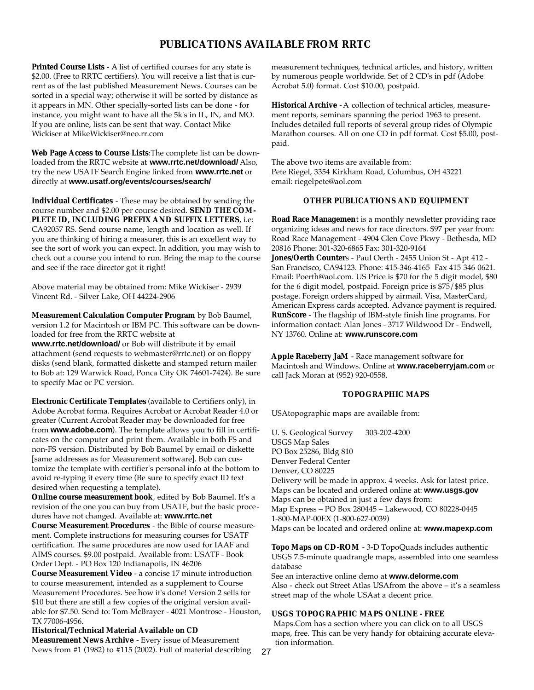#### **PUBLICATIONS AVAILABLE FROM RRTC**

**Printed Course Lists -** A list of certified courses for any state is \$2.00. (Free to RRTC certifiers). You will receive a list that is current as of the last published Measurement News. Courses can be sorted in a special way; otherwise it will be sorted by distance as it appears in MN. Other specially-sorted lists can be done - for instance, you might want to have all the 5k's in IL, IN, and MO. If you are online, lists can be sent that way. Contact Mike Wickiser at MikeWickiser@neo.rr.com

**Web Page Access to Course Lists**:The complete list can be downloaded from the RRTC website at **www.rrtc.net/download/** Also, try the new USATF Search Engine linked from **www.rrtc.net** or directly at **www.usatf.org/events/courses/search/**

**Individual Certificates** - These may be obtained by sending the course number and \$2.00 per course desired. **SEND THE COM-PLETE ID, INCLUDING PREFIX AND SUFFIX LETTERS**, i.e: CA92057 RS. Send course name, length and location as well. If you are thinking of hiring a measurer, this is an excellent way to see the sort of work you can expect. In addition, you may wish to check out a course you intend to run. Bring the map to the course and see if the race director got it right!

Above material may be obtained from: Mike Wickiser - 2939 Vincent Rd. - Silver Lake, OH 44224-2906

**Measurement Calculation Computer Program** by Bob Baumel, version 1.2 for Macintosh or IBM PC. This software can be downloaded for free from the RRTC website at

**www.rrtc.net/download/** or Bob will distribute it by email attachment (send requests to webmaster@rrtc.net) or on floppy disks (send blank, formatted diskette and stamped return mailer to Bob at: 129 Warwick Road, Ponca City OK 74601-7424). Be sure to specify Mac or PC version.

**Electronic Certificate Templates** (available to Certifiers only), in Adobe Acrobat forma. Requires Acrobat or Acrobat Reader 4.0 or greater (Current Acrobat Reader may be downloaded for free from **www.adobe.com**). The template allows you to fill in certificates on the computer and print them. Available in both FS and non-FS version. Distributed by Bob Baumel by email or diskette [same addresses as for Measurement software]. Bob can customize the template with certifier's personal info at the bottom to avoid re-typing it every time (Be sure to specify exact ID text desired when requesting a template).

**Online course measurement book**, edited by Bob Baumel. It's a revision of the one you can buy from USATF, but the basic procedures have not changed. Available at: **www.rrtc.net**

**Course Measurement Procedures** - the Bible of course measurement. Complete instructions for measuring courses for USATF certification. The same procedures are now used for IAAF and AIMS courses. \$9.00 postpaid. Available from: USATF - Book Order Dept. - PO Box 120 Indianapolis, IN 46206

**Course Measurement Video** - a concise 17 minute introduction to course measurement, intended as a supplement to Course Measurement Procedures. See how it's done! Version 2 sells for \$10 but there are still a few copies of the original version available for \$7.50. Send to: Tom McBrayer - 4021 Montrose - Houston, TX 77006-4956.

**Historical/Technical Material Available on CD Measurement News Archive** - Every issue of Measurement News from #1 (1982) to #115 (2002). Full of material describing

measurement techniques, technical articles, and history, written by numerous people worldwide. Set of 2 CD's in pdf (Adobe Acrobat 5.0) format. Cost \$10.00, postpaid.

**Historical Archive** -A collection of technical articles, measurement reports, seminars spanning the period 1963 to present. Includes detailed full reports of several group rides of Olympic Marathon courses. All on one CD in pdf format. Cost \$5.00, postpaid.

The above two items are available from: Pete Riegel, 3354 Kirkham Road, Columbus, OH 43221 email: riegelpete@aol.com

#### **OTHER PUBLICATIONS AND EQUIPMENT**

**Road Race Managemen**t is a monthly newsletter providing race organizing ideas and news for race directors. \$97 per year from: Road Race Management - 4904 Glen Cove Pkwy - Bethesda, MD 20816 Phone: 301-320-6865 Fax: 301-320-9164 **Jones/Oerth Counter**s - Paul Oerth - 2455 Union St - Apt 412 - San Francisco, CA94123. Phone: 415-346-4165 Fax 415 346 0621. Email: Poerth@aol.com. US Price is \$70 for the 5 digit model, \$80 for the 6 digit model, postpaid. Foreign price is \$75/\$85 plus postage. Foreign orders shipped by airmail. Visa, MasterCard, American Express cards accepted. Advance payment is required. **RunScore** - The flagship of IBM-style finish line programs. For information contact: Alan Jones - 3717 Wildwood Dr - Endwell, NY 13760. Online at: **www.runscore.com**

**Apple Raceberry JaM** - Race management software for Macintosh and Windows. Online at **www.raceberryjam.com** or call Jack Moran at (952) 920-0558.

#### **TOPOGRAPHIC MAPS**

USAtopographic maps are available from:

U. S. Geological Survey 303-202-4200 USGS Map Sales PO Box 25286, Bldg 810 Denver Federal Center Denver, CO 80225 Delivery will be made in approx. 4 weeks. Ask for latest price. Maps can be located and ordered online at: **www.usgs.gov** Maps can be obtained in just a few days from: Map Express – PO Box 280445 – Lakewood, CO 80228-0445 1-800-MAP-00EX (1-800-627-0039) Maps can be located and ordered online at: **www.mapexp.com**

**Topo Maps on CD-ROM** - 3-D TopoQuads includes authentic USGS 7.5-minute quadrangle maps, assembled into one seamless database

See an interactive online demo at **www.delorme.com** Also - check out Street Atlas USAfrom the above – it's a seamless street map of the whole USAat a decent price.

#### **USGS TOPOGRAPHIC MAPS ONLINE - FREE**

Maps.Com has a section where you can click on to all USGS maps, free. This can be very handy for obtaining accurate elevation information.